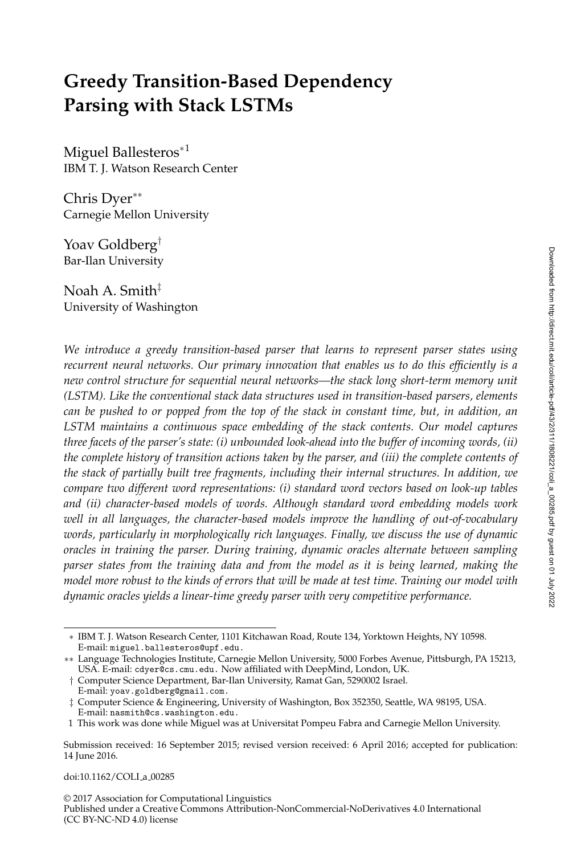# **Greedy Transition-Based Dependency Parsing with Stack LSTMs**

Miguel Ballesteros∗<sup>1</sup> IBM T. J. Watson Research Center

Chris Dyer∗∗ Carnegie Mellon University

Yoav Goldberg† Bar-Ilan University

Noah A. Smith<sup>‡</sup> University of Washington

*We introduce a greedy transition-based parser that learns to represent parser states using recurrent neural networks. Our primary innovation that enables us to do this efficiently is a new control structure for sequential neural networks—the stack long short-term memory unit (LSTM). Like the conventional stack data structures used in transition-based parsers, elements can be pushed to or popped from the top of the stack in constant time, but, in addition, an LSTM maintains a continuous space embedding of the stack contents. Our model captures three facets of the parser's state: (i) unbounded look-ahead into the buffer of incoming words, (ii) the complete history of transition actions taken by the parser, and (iii) the complete contents of the stack of partially built tree fragments, including their internal structures. In addition, we compare two different word representations: (i) standard word vectors based on look-up tables and (ii) character-based models of words. Although standard word embedding models work well in all languages, the character-based models improve the handling of out-of-vocabulary words, particularly in morphologically rich languages. Finally, we discuss the use of dynamic oracles in training the parser. During training, dynamic oracles alternate between sampling parser states from the training data and from the model as it is being learned, making the model more robust to the kinds of errors that will be made at test time. Training our model with dynamic oracles yields a linear-time greedy parser with very competitive performance.*

doi:10.1162/COLI a 00285

© 2017 Association for Computational Linguistics

<sup>∗</sup> IBM T. J. Watson Research Center, 1101 Kitchawan Road, Route 134, Yorktown Heights, NY 10598. E-mail: miguel.ballesteros@upf.edu.

<sup>∗∗</sup> Language Technologies Institute, Carnegie Mellon University, 5000 Forbes Avenue, Pittsburgh, PA 15213, USA. E-mail: cdyer@cs.cmu.edu. Now affiliated with DeepMind, London, UK.

<sup>†</sup> Computer Science Department, Bar-Ilan University, Ramat Gan, 5290002 Israel.

E-mail: yoav.goldberg@gmail.com.

<sup>‡</sup> Computer Science & Engineering, University of Washington, Box 352350, Seattle, WA 98195, USA. E-mail: nasmith@cs.washington.edu.

<sup>1</sup> This work was done while Miguel was at Universitat Pompeu Fabra and Carnegie Mellon University.

Submission received: 16 September 2015; revised version received: 6 April 2016; accepted for publication: 14 June 2016.

Published under a Creative Commons Attribution-NonCommercial-NoDerivatives 4.0 International (CC BY-NC-ND 4.0) license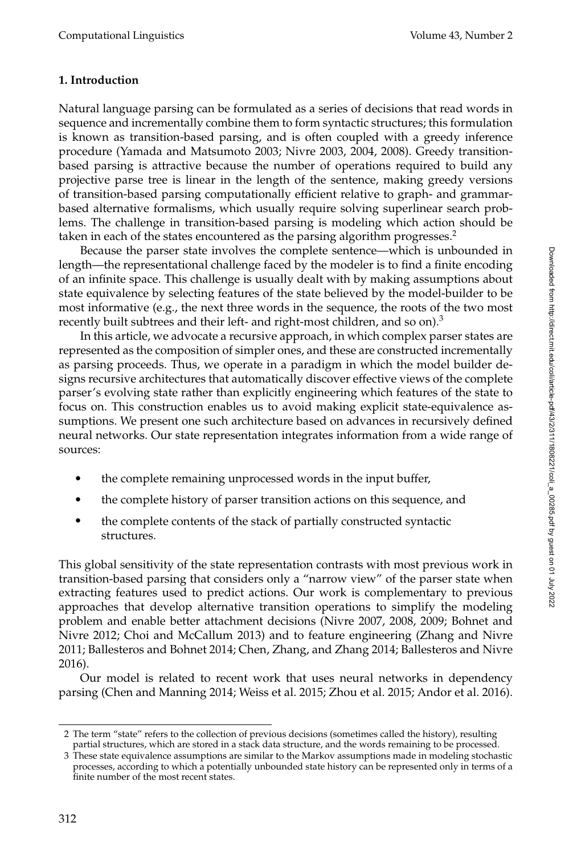## **1. Introduction**

Natural language parsing can be formulated as a series of decisions that read words in sequence and incrementally combine them to form syntactic structures; this formulation is known as transition-based parsing, and is often coupled with a greedy inference procedure (Yamada and Matsumoto 2003; Nivre 2003, 2004, 2008). Greedy transitionbased parsing is attractive because the number of operations required to build any projective parse tree is linear in the length of the sentence, making greedy versions of transition-based parsing computationally efficient relative to graph- and grammarbased alternative formalisms, which usually require solving superlinear search problems. The challenge in transition-based parsing is modeling which action should be taken in each of the states encountered as the parsing algorithm progresses.<sup>2</sup>

Because the parser state involves the complete sentence—which is unbounded in length—the representational challenge faced by the modeler is to find a finite encoding of an infinite space. This challenge is usually dealt with by making assumptions about state equivalence by selecting features of the state believed by the model-builder to be most informative (e.g., the next three words in the sequence, the roots of the two most recently built subtrees and their left- and right-most children, and so on).<sup>3</sup>

In this article, we advocate a recursive approach, in which complex parser states are represented as the composition of simpler ones, and these are constructed incrementally as parsing proceeds. Thus, we operate in a paradigm in which the model builder designs recursive architectures that automatically discover effective views of the complete parser's evolving state rather than explicitly engineering which features of the state to focus on. This construction enables us to avoid making explicit state-equivalence assumptions. We present one such architecture based on advances in recursively defined neural networks. Our state representation integrates information from a wide range of sources:

- r the complete remaining unprocessed words in the input buffer,
- $\bullet$ the complete history of parser transition actions on this sequence, and
- r the complete contents of the stack of partially constructed syntactic structures.

This global sensitivity of the state representation contrasts with most previous work in transition-based parsing that considers only a "narrow view" of the parser state when extracting features used to predict actions. Our work is complementary to previous approaches that develop alternative transition operations to simplify the modeling problem and enable better attachment decisions (Nivre 2007, 2008, 2009; Bohnet and Nivre 2012; Choi and McCallum 2013) and to feature engineering (Zhang and Nivre 2011; Ballesteros and Bohnet 2014; Chen, Zhang, and Zhang 2014; Ballesteros and Nivre 2016).

Our model is related to recent work that uses neural networks in dependency parsing (Chen and Manning 2014; Weiss et al. 2015; Zhou et al. 2015; Andor et al. 2016).

<sup>2</sup> The term "state" refers to the collection of previous decisions (sometimes called the history), resulting partial structures, which are stored in a stack data structure, and the words remaining to be processed.

<sup>3</sup> These state equivalence assumptions are similar to the Markov assumptions made in modeling stochastic processes, according to which a potentially unbounded state history can be represented only in terms of a finite number of the most recent states.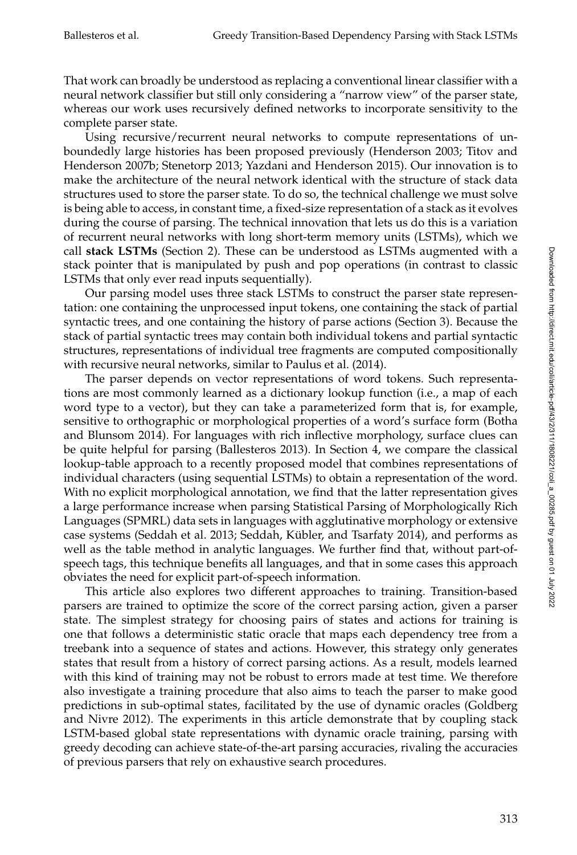That work can broadly be understood as replacing a conventional linear classifier with a neural network classifier but still only considering a "narrow view" of the parser state, whereas our work uses recursively defined networks to incorporate sensitivity to the complete parser state.

Using recursive/recurrent neural networks to compute representations of unboundedly large histories has been proposed previously (Henderson 2003; Titov and Henderson 2007b; Stenetorp 2013; Yazdani and Henderson 2015). Our innovation is to make the architecture of the neural network identical with the structure of stack data structures used to store the parser state. To do so, the technical challenge we must solve is being able to access, in constant time, a fixed-size representation of a stack as it evolves during the course of parsing. The technical innovation that lets us do this is a variation of recurrent neural networks with long short-term memory units (LSTMs), which we call **stack LSTMs** (Section 2). These can be understood as LSTMs augmented with a stack pointer that is manipulated by push and pop operations (in contrast to classic LSTMs that only ever read inputs sequentially).

Our parsing model uses three stack LSTMs to construct the parser state representation: one containing the unprocessed input tokens, one containing the stack of partial syntactic trees, and one containing the history of parse actions (Section 3). Because the stack of partial syntactic trees may contain both individual tokens and partial syntactic structures, representations of individual tree fragments are computed compositionally with recursive neural networks, similar to Paulus et al. (2014).

The parser depends on vector representations of word tokens. Such representations are most commonly learned as a dictionary lookup function (i.e., a map of each word type to a vector), but they can take a parameterized form that is, for example, sensitive to orthographic or morphological properties of a word's surface form (Botha and Blunsom 2014). For languages with rich inflective morphology, surface clues can be quite helpful for parsing (Ballesteros 2013). In Section 4, we compare the classical lookup-table approach to a recently proposed model that combines representations of individual characters (using sequential LSTMs) to obtain a representation of the word. With no explicit morphological annotation, we find that the latter representation gives a large performance increase when parsing Statistical Parsing of Morphologically Rich Languages (SPMRL) data sets in languages with agglutinative morphology or extensive case systems (Seddah et al. 2013; Seddah, Kübler, and Tsarfaty 2014), and performs as well as the table method in analytic languages. We further find that, without part-ofspeech tags, this technique benefits all languages, and that in some cases this approach obviates the need for explicit part-of-speech information.

This article also explores two different approaches to training. Transition-based parsers are trained to optimize the score of the correct parsing action, given a parser state. The simplest strategy for choosing pairs of states and actions for training is one that follows a deterministic static oracle that maps each dependency tree from a treebank into a sequence of states and actions. However, this strategy only generates states that result from a history of correct parsing actions. As a result, models learned with this kind of training may not be robust to errors made at test time. We therefore also investigate a training procedure that also aims to teach the parser to make good predictions in sub-optimal states, facilitated by the use of dynamic oracles (Goldberg and Nivre 2012). The experiments in this article demonstrate that by coupling stack LSTM-based global state representations with dynamic oracle training, parsing with greedy decoding can achieve state-of-the-art parsing accuracies, rivaling the accuracies of previous parsers that rely on exhaustive search procedures.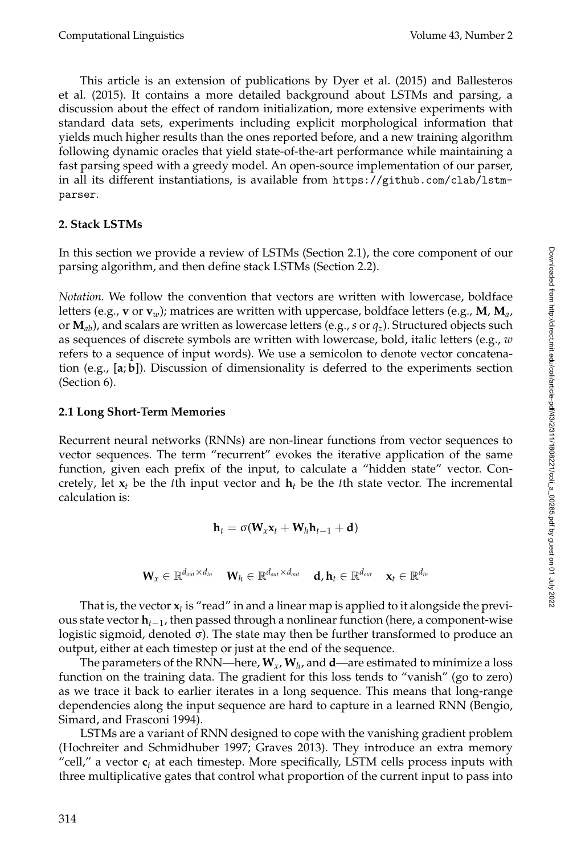This article is an extension of publications by Dyer et al. (2015) and Ballesteros et al. (2015). It contains a more detailed background about LSTMs and parsing, a discussion about the effect of random initialization, more extensive experiments with standard data sets, experiments including explicit morphological information that yields much higher results than the ones reported before, and a new training algorithm following dynamic oracles that yield state-of-the-art performance while maintaining a fast parsing speed with a greedy model. An open-source implementation of our parser, in all its different instantiations, is available from https://github.com/clab/lstmparser.

## **2. Stack LSTMs**

In this section we provide a review of LSTMs (Section 2.1), the core component of our parsing algorithm, and then define stack LSTMs (Section 2.2).

*Notation.* We follow the convention that vectors are written with lowercase, boldface letters (e.g., **v** or **v***w*); matrices are written with uppercase, boldface letters (e.g., **M**, **M***<sup>a</sup>* , or **M***ab*), and scalars are written as lowercase letters (e.g., *s* or *q<sup>z</sup>* ). Structured objects such as sequences of discrete symbols are written with lowercase, bold, italic letters (e.g., *w* refers to a sequence of input words). We use a semicolon to denote vector concatenation (e.g., [**a**; **b**]). Discussion of dimensionality is deferred to the experiments section (Section 6).

## **2.1 Long Short-Term Memories**

Recurrent neural networks (RNNs) are non-linear functions from vector sequences to vector sequences. The term "recurrent" evokes the iterative application of the same function, given each prefix of the input, to calculate a "hidden state" vector. Concretely, let  $x_t$  be the *t*th input vector and  $h_t$  be the *t*th state vector. The incremental calculation is:

$$
\boldsymbol{h}_t = \sigma(\boldsymbol{W}_x \boldsymbol{x}_t + \boldsymbol{W}_h \boldsymbol{h}_{t-1} + \boldsymbol{d})
$$

$$
\mathbf{W}_\mathbf{x} \in \mathbb{R}^{d_{out} \times d_{in}} \quad \mathbf{W}_h \in \mathbb{R}^{d_{out} \times d_{out}} \quad \mathbf{d}, \mathbf{h}_t \in \mathbb{R}^{d_{out}} \quad \mathbf{x}_t \in \mathbb{R}^{d_{in}}
$$

That is, the vector  $\mathbf{x}_t$  is "read" in and a linear map is applied to it alongside the previous state vector **h***t*−<sup>1</sup> , then passed through a nonlinear function (here, a component-wise logistic sigmoid, denoted σ). The state may then be further transformed to produce an output, either at each timestep or just at the end of the sequence.

The parameters of the RNN—here,  $\mathbf{W}_{x}$ ,  $\mathbf{W}_{h}$ , and  $\mathbf{d}$ —are estimated to minimize a loss function on the training data. The gradient for this loss tends to "vanish" (go to zero) as we trace it back to earlier iterates in a long sequence. This means that long-range dependencies along the input sequence are hard to capture in a learned RNN (Bengio, Simard, and Frasconi 1994).

LSTMs are a variant of RNN designed to cope with the vanishing gradient problem (Hochreiter and Schmidhuber 1997; Graves 2013). They introduce an extra memory "cell," a vector  $c_t$  at each timestep. More specifically, LSTM cells process inputs with three multiplicative gates that control what proportion of the current input to pass into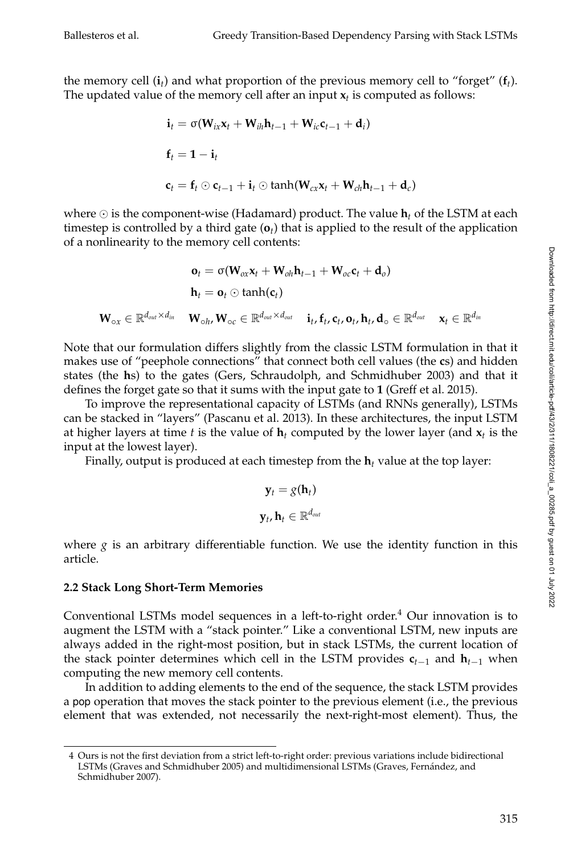the memory cell  $(i_t)$  and what proportion of the previous memory cell to "forget"  $(f_t)$ . The updated value of the memory cell after an input **x***<sup>t</sup>* is computed as follows:

$$
\mathbf{i}_t = \sigma(\mathbf{W}_{ix}\mathbf{x}_t + \mathbf{W}_{ih}\mathbf{h}_{t-1} + \mathbf{W}_{ic}\mathbf{c}_{t-1} + \mathbf{d}_i)
$$
\n
$$
\mathbf{f}_t = \mathbf{1} - \mathbf{i}_t
$$
\n
$$
\mathbf{c}_t = \mathbf{f}_t \odot \mathbf{c}_{t-1} + \mathbf{i}_t \odot \tanh(\mathbf{W}_{cx}\mathbf{x}_t + \mathbf{W}_{ch}\mathbf{h}_{t-1} + \mathbf{d}_c)
$$

where  $\odot$  is the component-wise (Hadamard) product. The value  $\mathbf{h}_t$  of the LSTM at each timestep is controlled by a third gate  $(\mathbf{o}_t)$  that is applied to the result of the application of a nonlinearity to the memory cell contents:

$$
\mathbf{o}_t = \sigma(\mathbf{W}_{ox} \mathbf{x}_t + \mathbf{W}_{oh} \mathbf{h}_{t-1} + \mathbf{W}_{oc} \mathbf{c}_t + \mathbf{d}_o)
$$

$$
\mathbf{h}_t = \mathbf{o}_t \odot \tanh(\mathbf{c}_t)
$$

$$
\mathbf{W}_{ox} \in \mathbb{R}^{d_{out} \times d_{in}} \quad \mathbf{W}_{oh} \mathbf{W}_{oc} \in \mathbb{R}^{d_{out} \times d_{out}} \quad \mathbf{i}_t, \mathbf{f}_t, \mathbf{c}_t, \mathbf{o}_t, \mathbf{h}_t, \mathbf{d}_o \in \mathbb{R}^{d_{out}} \quad \mathbf{x}_t \in \mathbb{R}^{d_{in}}
$$

Note that our formulation differs slightly from the classic LSTM formulation in that it makes use of "peephole connections" that connect both cell values (the **c**s) and hidden states (the **h**s) to the gates (Gers, Schraudolph, and Schmidhuber 2003) and that it defines the forget gate so that it sums with the input gate to **1** (Greff et al. 2015).

To improve the representational capacity of LSTMs (and RNNs generally), LSTMs can be stacked in "layers" (Pascanu et al. 2013). In these architectures, the input LSTM at higher layers at time *t* is the value of **h***<sup>t</sup>* computed by the lower layer (and **x***<sup>t</sup>* is the input at the lowest layer).

Finally, output is produced at each timestep from the  $h_t$  value at the top layer:

$$
\mathbf{y}_t = g(\mathbf{h}_t)
$$
  

$$
\mathbf{y}_t, \mathbf{h}_t \in \mathbb{R}^{d_{out}}
$$

where  $g$  is an arbitrary differentiable function. We use the identity function in this article.

## **2.2 Stack Long Short-Term Memories**

Conventional LSTMs model sequences in a left-to-right order.<sup>4</sup> Our innovation is to augment the LSTM with a "stack pointer." Like a conventional LSTM, new inputs are always added in the right-most position, but in stack LSTMs, the current location of the stack pointer determines which cell in the LSTM provides **c***t*−<sup>1</sup> and **h***t*−<sup>1</sup> when computing the new memory cell contents.

In addition to adding elements to the end of the sequence, the stack LSTM provides a pop operation that moves the stack pointer to the previous element (i.e., the previous element that was extended, not necessarily the next-right-most element). Thus, the

<sup>4</sup> Ours is not the first deviation from a strict left-to-right order: previous variations include bidirectional LSTMs (Graves and Schmidhuber 2005) and multidimensional LSTMs (Graves, Fernandez, and ´ Schmidhuber 2007).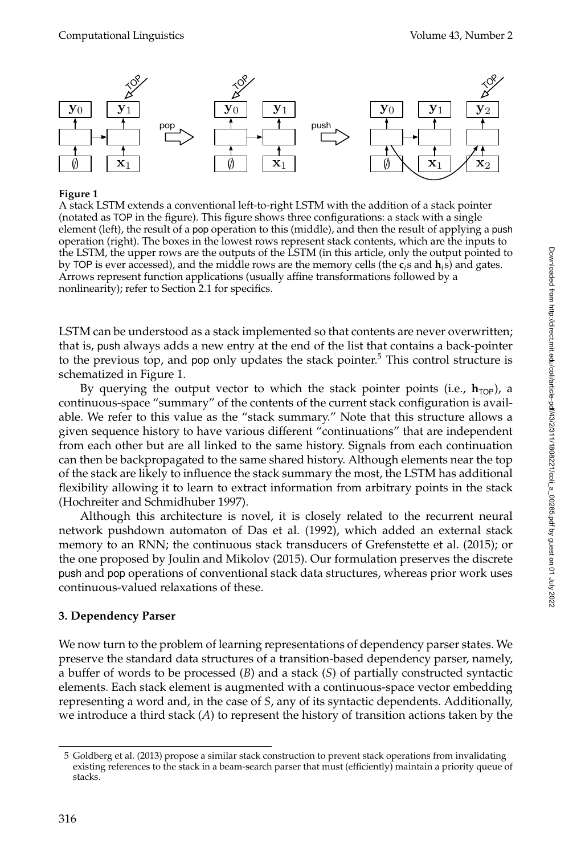

A stack LSTM extends a conventional left-to-right LSTM with the addition of a stack pointer (notated as TOP in the figure). This figure shows three configurations: a stack with a single element (left), the result of a pop operation to this (middle), and then the result of applying a push operation (right). The boxes in the lowest rows represent stack contents, which are the inputs to the LSTM, the upper rows are the outputs of the LSTM (in this article, only the output pointed to by TOP is ever accessed), and the middle rows are the memory cells (the  $c_t$ s and  $h_t$ s) and gates. Arrows represent function applications (usually affine transformations followed by a nonlinearity); refer to Section 2.1 for specifics.

LSTM can be understood as a stack implemented so that contents are never overwritten; that is, push always adds a new entry at the end of the list that contains a back-pointer to the previous top, and pop only updates the stack pointer.<sup>5</sup> This control structure is schematized in Figure 1.

By querying the output vector to which the stack pointer points (i.e.,  $h_{\text{TOP}}$ ), a continuous-space "summary" of the contents of the current stack configuration is available. We refer to this value as the "stack summary." Note that this structure allows a given sequence history to have various different "continuations" that are independent from each other but are all linked to the same history. Signals from each continuation can then be backpropagated to the same shared history. Although elements near the top of the stack are likely to influence the stack summary the most, the LSTM has additional flexibility allowing it to learn to extract information from arbitrary points in the stack (Hochreiter and Schmidhuber 1997).

Although this architecture is novel, it is closely related to the recurrent neural network pushdown automaton of Das et al. (1992), which added an external stack memory to an RNN; the continuous stack transducers of Grefenstette et al. (2015); or the one proposed by Joulin and Mikolov (2015). Our formulation preserves the discrete push and pop operations of conventional stack data structures, whereas prior work uses continuous-valued relaxations of these.

## **3. Dependency Parser**

We now turn to the problem of learning representations of dependency parser states. We preserve the standard data structures of a transition-based dependency parser, namely, a buffer of words to be processed (*B*) and a stack (*S*) of partially constructed syntactic elements. Each stack element is augmented with a continuous-space vector embedding representing a word and, in the case of *S*, any of its syntactic dependents. Additionally, we introduce a third stack (*A*) to represent the history of transition actions taken by the

<sup>5</sup> Goldberg et al. (2013) propose a similar stack construction to prevent stack operations from invalidating existing references to the stack in a beam-search parser that must (efficiently) maintain a priority queue of stacks.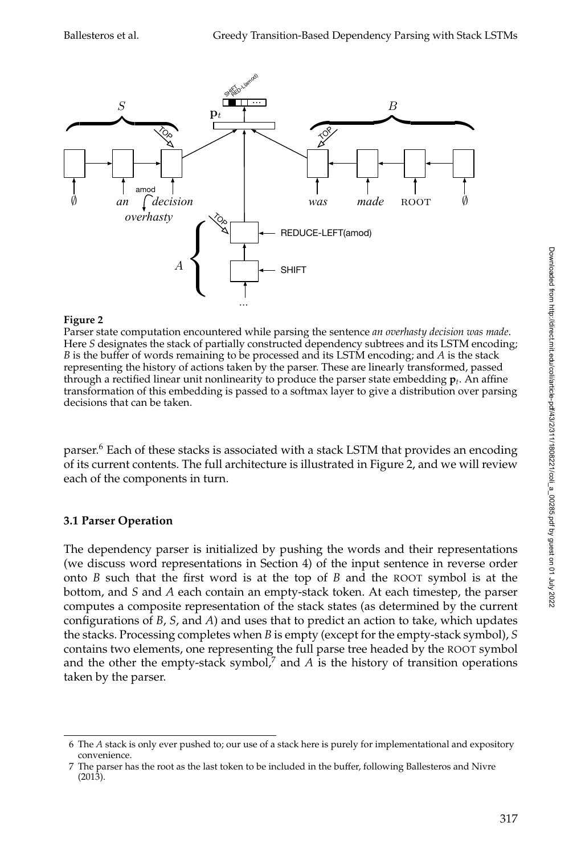

Parser state computation encountered while parsing the sentence *an overhasty decision was made*. Here *S* designates the stack of partially constructed dependency subtrees and its LSTM encoding; *B* is the buffer of words remaining to be processed and its LSTM encoding; and *A* is the stack representing the history of actions taken by the parser. These are linearly transformed, passed through a rectified linear unit nonlinearity to produce the parser state embedding **p***<sup>t</sup>* . An affine transformation of this embedding is passed to a softmax layer to give a distribution over parsing decisions that can be taken.

parser.<sup>6</sup> Each of these stacks is associated with a stack LSTM that provides an encoding of its current contents. The full architecture is illustrated in Figure 2, and we will review each of the components in turn.

## **3.1 Parser Operation**

The dependency parser is initialized by pushing the words and their representations (we discuss word representations in Section 4) of the input sentence in reverse order onto *B* such that the first word is at the top of *B* and the ROOT symbol is at the bottom, and *S* and *A* each contain an empty-stack token. At each timestep, the parser computes a composite representation of the stack states (as determined by the current configurations of *B*, *S*, and *A*) and uses that to predict an action to take, which updates the stacks. Processing completes when *B* is empty (except for the empty-stack symbol), *S* contains two elements, one representing the full parse tree headed by the ROOT symbol and the other the empty-stack symbol,<sup>7</sup> and  $A$  is the history of transition operations taken by the parser.

<sup>6</sup> The *A* stack is only ever pushed to; our use of a stack here is purely for implementational and expository convenience.

<sup>7</sup> The parser has the root as the last token to be included in the buffer, following Ballesteros and Nivre (2013).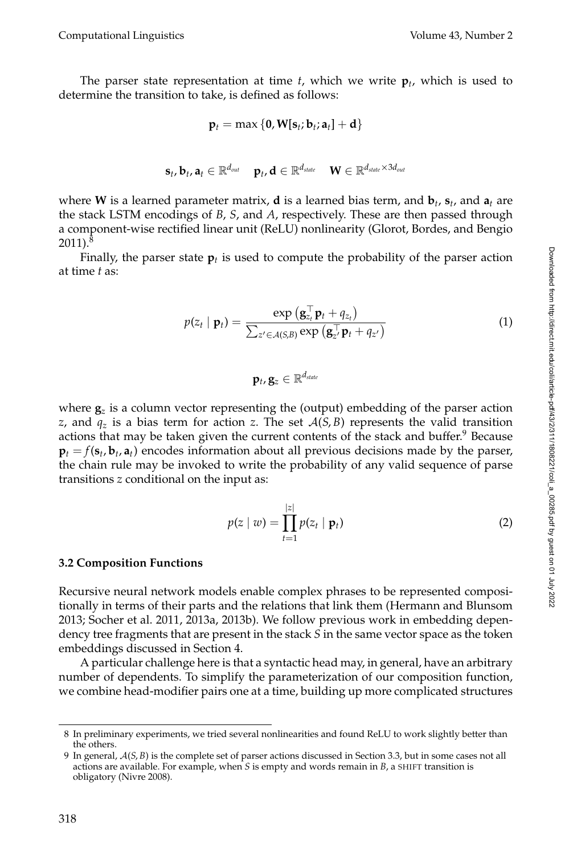The parser state representation at time *t*, which we write **p***<sup>t</sup>* , which is used to determine the transition to take, is defined as follows:

$$
\mathbf{p}_t = \max \left\{ \mathbf{0}, \mathbf{W}[\mathbf{s}_t; \mathbf{b}_t; \mathbf{a}_t] + \mathbf{d} \right\}
$$
  

$$
\mathbf{s}_t, \mathbf{b}_t, \mathbf{a}_t \in \mathbb{R}^{d_{out}} \quad \mathbf{p}_t, \mathbf{d} \in \mathbb{R}^{d_{state}} \quad \mathbf{W} \in \mathbb{R}^{d_{state} \times 3d_{out}}
$$

where **W** is a learned parameter matrix, **d** is a learned bias term, and **b***<sup>t</sup>* , **s***<sup>t</sup>* , and **a***<sup>t</sup>* are the stack LSTM encodings of *B*, *S*, and *A*, respectively. These are then passed through a component-wise rectified linear unit (ReLU) nonlinearity (Glorot, Bordes, and Bengio  $2011$ <sup>8</sup>

Finally, the parser state  $\boldsymbol{p}_t$  is used to compute the probability of the parser action at time *t* as:

$$
p(z_t | \mathbf{p}_t) = \frac{\exp\left(\mathbf{g}_{z_t}^{\top} \mathbf{p}_t + q_{z_t}\right)}{\sum_{z' \in A(S, B)} \exp\left(\mathbf{g}_{z'}^{\top} \mathbf{p}_t + q_{z'}\right)}
$$
(1)

$$
\mathbf{p}_t, \mathbf{g}_z \in \mathbb{R}^{d_{state}}
$$

where **g***<sup>z</sup>* is a column vector representing the (output) embedding of the parser action *z*, and  $q_z$  is a bias term for action *z*. The set  $A(S, B)$  represents the valid transition actions that may be taken given the current contents of the stack and buffer.<sup>9</sup> Because  ${\bf p}_t = f({\bf s}_t, {\bf b}_t, {\bf a}_t)$  encodes information about all previous decisions made by the parser, the chain rule may be invoked to write the probability of any valid sequence of parse transitions *z* conditional on the input as:

$$
p(z \mid w) = \prod_{t=1}^{|z|} p(z_t \mid \mathbf{p}_t)
$$
 (2)

#### **3.2 Composition Functions**

Recursive neural network models enable complex phrases to be represented compositionally in terms of their parts and the relations that link them (Hermann and Blunsom 2013; Socher et al. 2011, 2013a, 2013b). We follow previous work in embedding dependency tree fragments that are present in the stack *S* in the same vector space as the token embeddings discussed in Section 4.

A particular challenge here is that a syntactic head may, in general, have an arbitrary number of dependents. To simplify the parameterization of our composition function, we combine head-modifier pairs one at a time, building up more complicated structures

<sup>8</sup> In preliminary experiments, we tried several nonlinearities and found ReLU to work slightly better than the others.

<sup>9</sup> In general, A(*S*, *B*) is the complete set of parser actions discussed in Section 3.3, but in some cases not all actions are available. For example, when *S* is empty and words remain in *B*, a SHIFT transition is obligatory (Nivre 2008).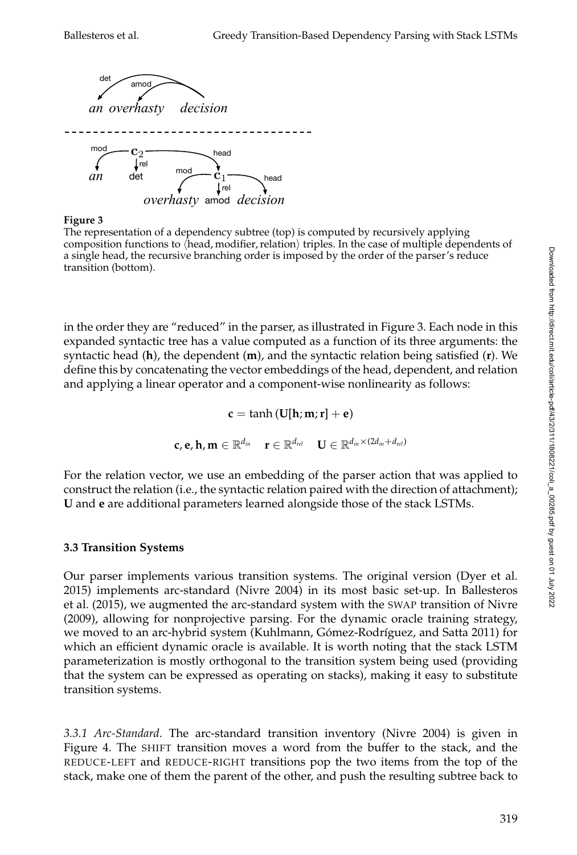

The representation of a dependency subtree (top) is computed by recursively applying composition functions to  $\langle$ head, modifier, relation $\rangle$  triples. In the case of multiple dependents of a single head, the recursive branching order is imposed by the order of the parser's reduce transition (bottom).

in the order they are "reduced" in the parser, as illustrated in Figure 3. Each node in this expanded syntactic tree has a value computed as a function of its three arguments: the syntactic head (**h**), the dependent (**m**), and the syntactic relation being satisfied (**r**). We define this by concatenating the vector embeddings of the head, dependent, and relation and applying a linear operator and a component-wise nonlinearity as follows:

$$
c = \tanh(U[h; m; r] + e)
$$

$$
\mathbf{c},\mathbf{e},\mathbf{h},\mathbf{m}\in\mathbb{R}^{d_{in}}\quad \mathbf{r}\in\mathbb{R}^{d_{rel}}\quad \mathbf{U}\in\mathbb{R}^{d_{in}\times (2d_{in}+d_{rel})}
$$

For the relation vector, we use an embedding of the parser action that was applied to construct the relation (i.e., the syntactic relation paired with the direction of attachment); **U** and **e** are additional parameters learned alongside those of the stack LSTMs.

## **3.3 Transition Systems**

Our parser implements various transition systems. The original version (Dyer et al. 2015) implements arc-standard (Nivre 2004) in its most basic set-up. In Ballesteros et al. (2015), we augmented the arc-standard system with the SWAP transition of Nivre (2009), allowing for nonprojective parsing. For the dynamic oracle training strategy, we moved to an arc-hybrid system (Kuhlmann, Gómez-Rodríguez, and Satta 2011) for which an efficient dynamic oracle is available. It is worth noting that the stack LSTM parameterization is mostly orthogonal to the transition system being used (providing that the system can be expressed as operating on stacks), making it easy to substitute transition systems.

*3.3.1 Arc-Standard.* The arc-standard transition inventory (Nivre 2004) is given in Figure 4. The SHIFT transition moves a word from the buffer to the stack, and the REDUCE-LEFT and REDUCE-RIGHT transitions pop the two items from the top of the stack, make one of them the parent of the other, and push the resulting subtree back to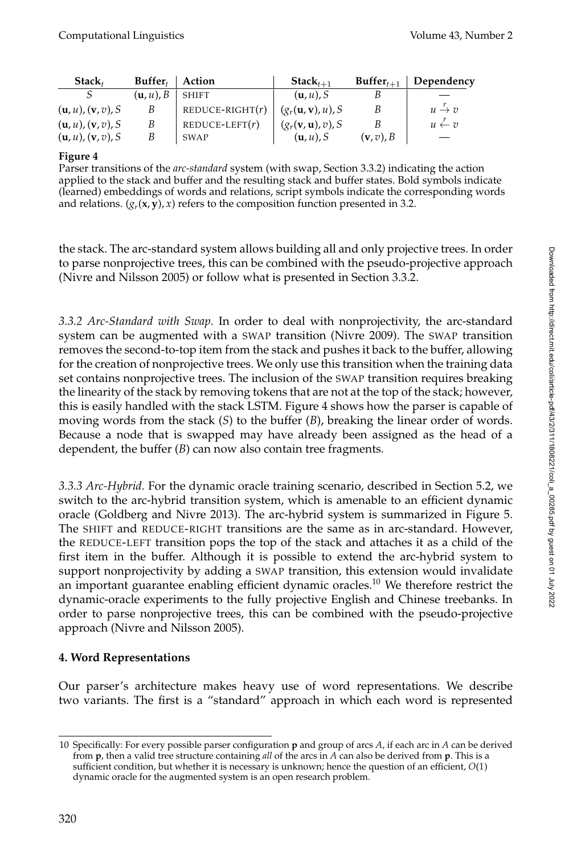| $Stack_t$                                 | $Buffer_{t}$          | Action            | $Stack_{t+1}$                          | Buffer <sub><math>t+1</math></sub> | Dependency                      |
|-------------------------------------------|-----------------------|-------------------|----------------------------------------|------------------------------------|---------------------------------|
|                                           | $(\mathbf{u}, u)$ , B | <b>SHIFT</b>      | $(\mathbf{u}, u)$ , S                  |                                    |                                 |
| $(\mathbf{u}, u)$ , $(\mathbf{v}, v)$ , S | B                     | $REDUCE-RIGHT(r)$ | $(g_r(\mathbf{u}, \mathbf{v}), u)$ , S |                                    | $u \stackrel{r}{\rightarrow} v$ |
| $(\mathbf{u}, u)$ , $(\mathbf{v}, v)$ , S | B                     | $REDUCE-LEFT(r)$  | $(g_r(\mathbf{v}, \mathbf{u}), v), S$  |                                    | $u \leftarrow v$                |
| $(\mathbf{u}, u)$ , $(\mathbf{v}, v)$ , S |                       | SWAP              | $(\mathbf{u}, u)$ , S                  | (v, v), B                          |                                 |

Parser transitions of the *arc-standard* system (with swap, Section 3.3.2) indicating the action applied to the stack and buffer and the resulting stack and buffer states. Bold symbols indicate (learned) embeddings of words and relations, script symbols indicate the corresponding words and relations.  $(g_r(\mathbf{x}, \mathbf{y}), x)$  refers to the composition function presented in 3.2.

the stack. The arc-standard system allows building all and only projective trees. In order to parse nonprojective trees, this can be combined with the pseudo-projective approach (Nivre and Nilsson 2005) or follow what is presented in Section 3.3.2.

*3.3.2 Arc-Standard with Swap.* In order to deal with nonprojectivity, the arc-standard system can be augmented with a SWAP transition (Nivre 2009). The SWAP transition removes the second-to-top item from the stack and pushes it back to the buffer, allowing for the creation of nonprojective trees. We only use this transition when the training data set contains nonprojective trees. The inclusion of the SWAP transition requires breaking the linearity of the stack by removing tokens that are not at the top of the stack; however, this is easily handled with the stack LSTM. Figure 4 shows how the parser is capable of moving words from the stack (*S*) to the buffer (*B*), breaking the linear order of words. Because a node that is swapped may have already been assigned as the head of a dependent, the buffer (*B*) can now also contain tree fragments.

*3.3.3 Arc-Hybrid.* For the dynamic oracle training scenario, described in Section 5.2, we switch to the arc-hybrid transition system, which is amenable to an efficient dynamic oracle (Goldberg and Nivre 2013). The arc-hybrid system is summarized in Figure 5. The SHIFT and REDUCE-RIGHT transitions are the same as in arc-standard. However, the REDUCE-LEFT transition pops the top of the stack and attaches it as a child of the first item in the buffer. Although it is possible to extend the arc-hybrid system to support nonprojectivity by adding a SWAP transition, this extension would invalidate an important guarantee enabling efficient dynamic oracles.<sup>10</sup> We therefore restrict the dynamic-oracle experiments to the fully projective English and Chinese treebanks. In order to parse nonprojective trees, this can be combined with the pseudo-projective approach (Nivre and Nilsson 2005).

## **4. Word Representations**

Our parser's architecture makes heavy use of word representations. We describe two variants. The first is a "standard" approach in which each word is represented

<sup>10</sup> Specifically: For every possible parser configuration **p** and group of arcs *A*, if each arc in *A* can be derived from **p**, then a valid tree structure containing *all* of the arcs in *A* can also be derived from **p**. This is a sufficient condition, but whether it is necessary is unknown; hence the question of an efficient, *O*(1) dynamic oracle for the augmented system is an open research problem.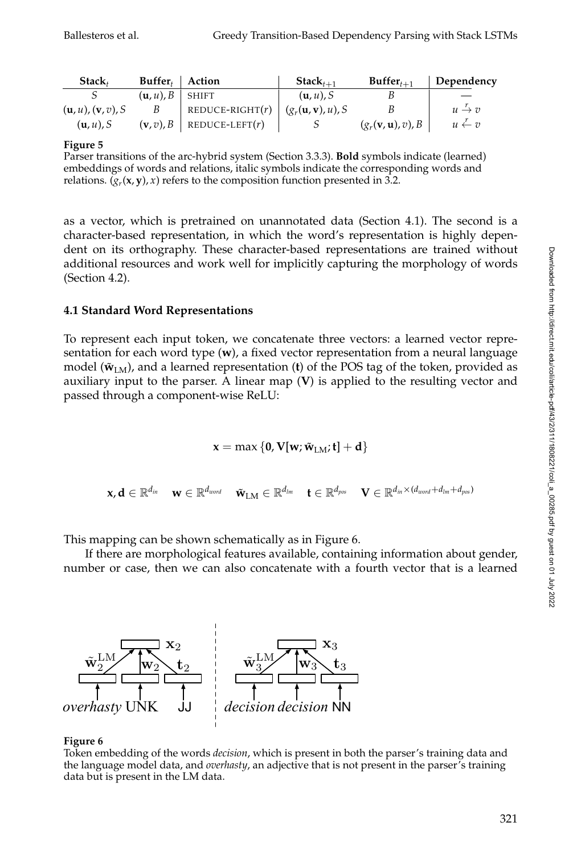| Stack.                                    | $Buffer_{t}$   Action      |                                                          | $Stack_{t+1}$         | Buffer <sub><math>t+1</math></sub>    | Dependency        |
|-------------------------------------------|----------------------------|----------------------------------------------------------|-----------------------|---------------------------------------|-------------------|
|                                           | $(\mathbf{u}, u), B$ SHIFT |                                                          | $(\mathbf{u}, u)$ , S |                                       |                   |
| $(\mathbf{u}, u)$ , $(\mathbf{v}, v)$ , S | B                          | REDUCE-RIGHT $(r)$ $(g_r(\mathbf{u}, \mathbf{v}), u), S$ |                       |                                       | $u \rightarrow v$ |
| $(\mathbf{u}, u)$ , S                     |                            | $(\mathbf{v}, v), B \mid \text{REDUCE-LEFT}(r)$          |                       | $(g_r(\mathbf{v}, \mathbf{u}), v), B$ | $u \leftarrow v$  |

Parser transitions of the arc-hybrid system (Section 3.3.3). **Bold** symbols indicate (learned) embeddings of words and relations, italic symbols indicate the corresponding words and relations. (*g<sup>r</sup>* (**x**, **y**), *x*) refers to the composition function presented in 3.2.

as a vector, which is pretrained on unannotated data (Section 4.1). The second is a character-based representation, in which the word's representation is highly dependent on its orthography. These character-based representations are trained without additional resources and work well for implicitly capturing the morphology of words (Section 4.2).

## **4.1 Standard Word Representations**

To represent each input token, we concatenate three vectors: a learned vector representation for each word type (**w**), a fixed vector representation from a neural language model ( $\tilde{\mathbf{w}}_{LM}$ ), and a learned representation (**t**) of the POS tag of the token, provided as auxiliary input to the parser. A linear map (**V**) is applied to the resulting vector and passed through a component-wise ReLU:

$$
x = \max\left\{0, V[w; \tilde{w}_{LM}; t] + d\right\}
$$

 $\mathbf{x}, \mathbf{d} \in \mathbb{R}^{d_{in}}$  **w**  $\in \mathbb{R}$  $\tilde{\mathbf{w}}_{\text{LM}} \in \mathbb{R}^{d_{lm}}$  $\mathbf{t} \in \mathbb{R}^{d_{pos}}$  $d_{pos}$  **V**  $\in \mathbb{R}^{d_{in} \times (d_{word} + d_{lm} + d_{pos})}$ 

This mapping can be shown schematically as in Figure 6.

If there are morphological features available, containing information about gender, number or case, then we can also concatenate with a fourth vector that is a learned



## **Figure 6**

Token embedding of the words *decision*, which is present in both the parser's training data and the language model data, and *overhasty*, an adjective that is not present in the parser's training data but is present in the LM data.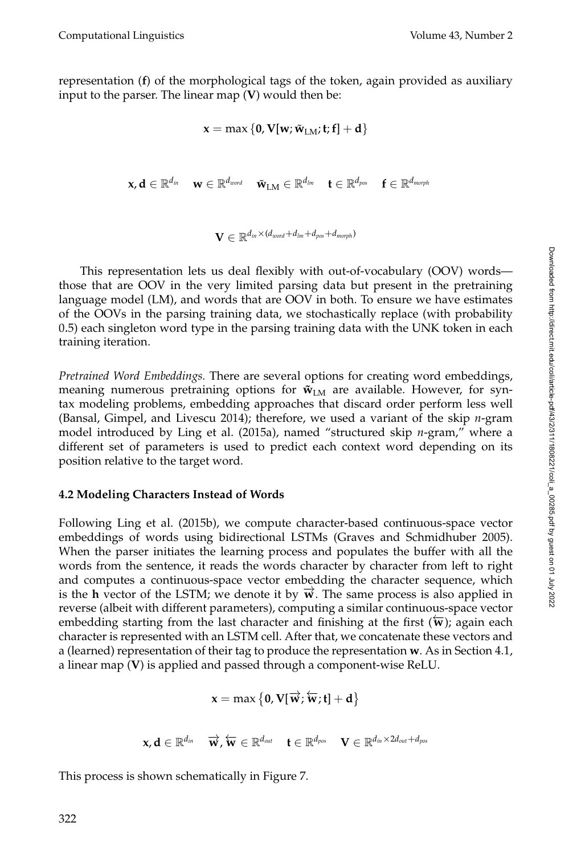representation (**f**) of the morphological tags of the token, again provided as auxiliary input to the parser. The linear map (**V**) would then be:

 $\mathbf{x} = \max\{0, \mathbf{V}[\mathbf{w}; \tilde{\mathbf{w}}_{LM}; \mathbf{t}; \mathbf{f}]\} + \mathbf{d}\}\$ 

 $\mathbf{x}, \mathbf{d} \in \mathbb{R}^{d_{in}}$   $\mathbf{w} \in \mathbb{R}^{d_{word}}$   $\mathbf{\tilde{w}}_{\text{LM}} \in \mathbb{R}^{d_{lm}}$   $\mathbf{t} \in \mathbb{R}^{d_{pos}}$   $\mathbf{f} \in \mathbb{R}^{d_{morph}}$ 

 $\mathbf{V} \in \mathbb{R}^{d_{in} \times (d_{word} + d_{lm} + d_{pos} + d_{morph})}$ 

This representation lets us deal flexibly with out-of-vocabulary (OOV) words those that are OOV in the very limited parsing data but present in the pretraining language model (LM), and words that are OOV in both. To ensure we have estimates of the OOVs in the parsing training data, we stochastically replace (with probability 0.5) each singleton word type in the parsing training data with the UNK token in each training iteration.

*Pretrained Word Embeddings.* There are several options for creating word embeddings, meaning numerous pretraining options for  $\tilde{w}_{LM}$  are available. However, for syntax modeling problems, embedding approaches that discard order perform less well (Bansal, Gimpel, and Livescu 2014); therefore, we used a variant of the skip *n*-gram model introduced by Ling et al. (2015a), named "structured skip *n*-gram," where a different set of parameters is used to predict each context word depending on its position relative to the target word.

## **4.2 Modeling Characters Instead of Words**

Following Ling et al. (2015b), we compute character-based continuous-space vector embeddings of words using bidirectional LSTMs (Graves and Schmidhuber 2005). When the parser initiates the learning process and populates the buffer with all the words from the sentence, it reads the words character by character from left to right and computes a continuous-space vector embedding the character sequence, which is the **h** vector of the LSTM; we denote it by  $\vec{w}$ . The same process is also applied in reverse (albeit with different parameters), computing a similar continuous-space vector embedding starting from the last character and finishing at the first ( $\overline{w}$ ); again each character is represented with an LSTM cell. After that, we concatenate these vectors and a (learned) representation of their tag to produce the representation **w**. As in Section 4.1, a linear map (**V**) is applied and passed through a component-wise ReLU.

$$
x = \max\left\{0, V[\overrightarrow{w}; \overleftarrow{w}; t] + d\right\}
$$

$$
\mathbf{x}, \mathbf{d} \in \mathbb{R}^{d_{in}} \quad \overrightarrow{\mathbf{w}}, \overleftarrow{\mathbf{w}} \in \mathbb{R}^{d_{out}} \quad \mathbf{t} \in \mathbb{R}^{d_{pos}} \quad \mathbf{V} \in \mathbb{R}^{d_{in} \times 2d_{out} + d_{pos}}
$$

This process is shown schematically in Figure 7.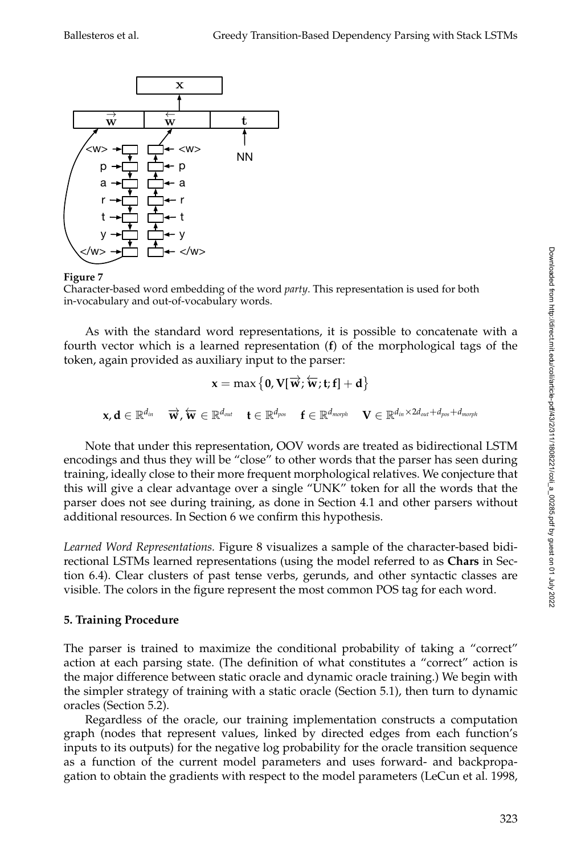

Character-based word embedding of the word *party*. This representation is used for both in-vocabulary and out-of-vocabulary words.

As with the standard word representations, it is possible to concatenate with a fourth vector which is a learned representation (**f**) of the morphological tags of the token, again provided as auxiliary input to the parser:

$$
\mathbf{x} = \max\left\{\mathbf{0}, \mathbf{V}[\overrightarrow{\mathbf{w}}; \overleftarrow{\mathbf{w}}; \mathbf{t}; \mathbf{f}] + \mathbf{d}\right\}
$$

$$
\mathbf{x}, \mathbf{d} \in \mathbb{R}^{d_{in}} \quad \overrightarrow{\mathbf{w}}, \overleftarrow{\mathbf{w}} \in \mathbb{R}^{d_{out}} \quad \mathbf{t} \in \mathbb{R}^{d_{pos}} \quad \mathbf{f} \in \mathbb{R}^{d_{morph}} \quad \mathbf{V} \in \mathbb{R}^{d_{in} \times 2d_{out} + d_{pos} + d_{morph}}
$$

Note that under this representation, OOV words are treated as bidirectional LSTM encodings and thus they will be "close" to other words that the parser has seen during training, ideally close to their more frequent morphological relatives. We conjecture that this will give a clear advantage over a single "UNK" token for all the words that the parser does not see during training, as done in Section 4.1 and other parsers without additional resources. In Section 6 we confirm this hypothesis.

*Learned Word Representations.* Figure 8 visualizes a sample of the character-based bidirectional LSTMs learned representations (using the model referred to as **Chars** in Section 6.4). Clear clusters of past tense verbs, gerunds, and other syntactic classes are visible. The colors in the figure represent the most common POS tag for each word.

## **5. Training Procedure**

The parser is trained to maximize the conditional probability of taking a "correct" action at each parsing state. (The definition of what constitutes a "correct" action is the major difference between static oracle and dynamic oracle training.) We begin with the simpler strategy of training with a static oracle (Section 5.1), then turn to dynamic oracles (Section 5.2).

Regardless of the oracle, our training implementation constructs a computation graph (nodes that represent values, linked by directed edges from each function's inputs to its outputs) for the negative log probability for the oracle transition sequence as a function of the current model parameters and uses forward- and backpropagation to obtain the gradients with respect to the model parameters (LeCun et al. 1998,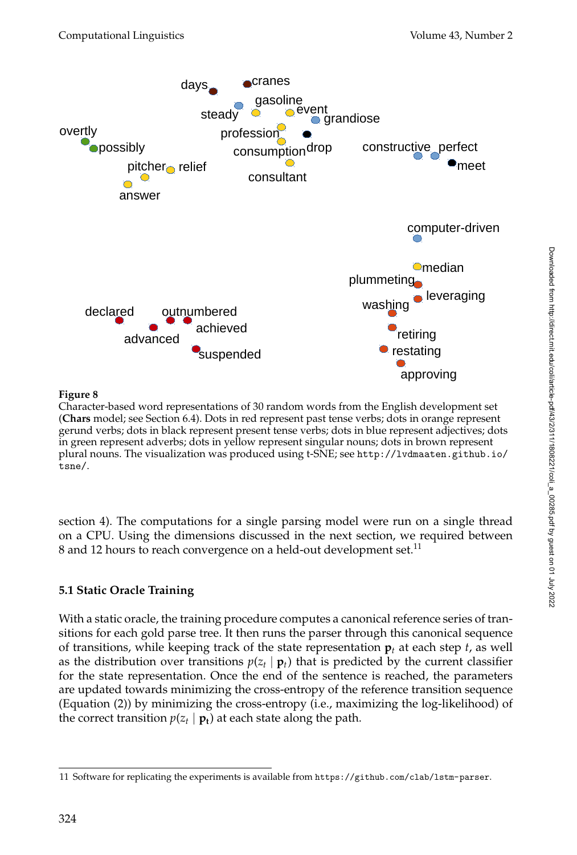

Character-based word representations of 30 random words from the English development set (**Chars** model; see Section 6.4). Dots in red represent past tense verbs; dots in orange represent gerund verbs; dots in black represent present tense verbs; dots in blue represent adjectives; dots in green represent adverbs; dots in yellow represent singular nouns; dots in brown represent plural nouns. The visualization was produced using t-SNE; see http://lvdmaaten.github.io/ tsne/.

section 4). The computations for a single parsing model were run on a single thread on a CPU. Using the dimensions discussed in the next section, we required between 8 and 12 hours to reach convergence on a held-out development set.<sup>11</sup>

## **5.1 Static Oracle Training**

With a static oracle, the training procedure computes a canonical reference series of transitions for each gold parse tree. It then runs the parser through this canonical sequence of transitions, while keeping track of the state representation  $\mathbf{p}_t$  at each step *t*, as well as the distribution over transitions  $p(z_t | p_t)$  that is predicted by the current classifier for the state representation. Once the end of the sentence is reached, the parameters are updated towards minimizing the cross-entropy of the reference transition sequence (Equation (2)) by minimizing the cross-entropy (i.e., maximizing the log-likelihood) of the correct transition  $p(z_t | p_t)$  at each state along the path.

<sup>11</sup> Software for replicating the experiments is available from https://github.com/clab/lstm-parser.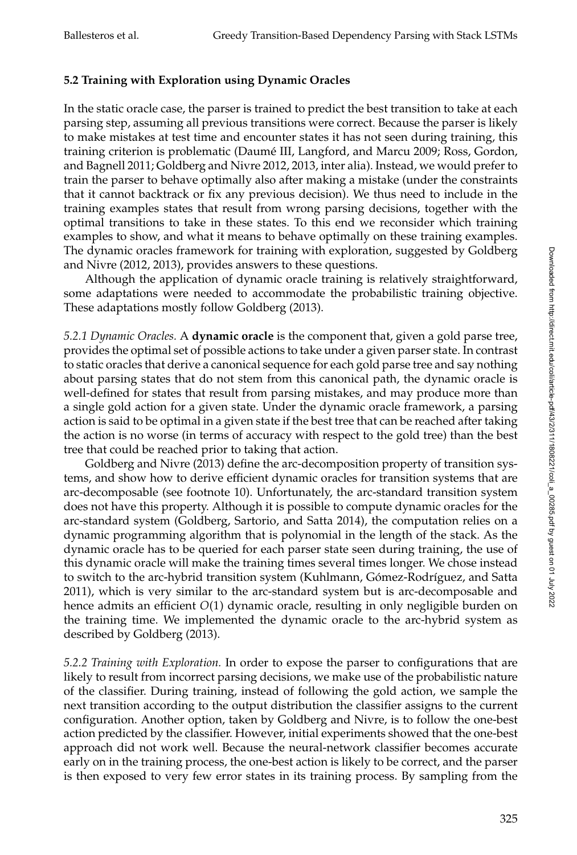## **5.2 Training with Exploration using Dynamic Oracles**

In the static oracle case, the parser is trained to predict the best transition to take at each parsing step, assuming all previous transitions were correct. Because the parser is likely to make mistakes at test time and encounter states it has not seen during training, this training criterion is problematic (Daumé III, Langford, and Marcu 2009; Ross, Gordon, and Bagnell 2011; Goldberg and Nivre 2012, 2013, inter alia). Instead, we would prefer to train the parser to behave optimally also after making a mistake (under the constraints that it cannot backtrack or fix any previous decision). We thus need to include in the training examples states that result from wrong parsing decisions, together with the optimal transitions to take in these states. To this end we reconsider which training examples to show, and what it means to behave optimally on these training examples. The dynamic oracles framework for training with exploration, suggested by Goldberg and Nivre (2012, 2013), provides answers to these questions.

Although the application of dynamic oracle training is relatively straightforward, some adaptations were needed to accommodate the probabilistic training objective. These adaptations mostly follow Goldberg (2013).

*5.2.1 Dynamic Oracles.* A **dynamic oracle** is the component that, given a gold parse tree, provides the optimal set of possible actions to take under a given parser state. In contrast to static oracles that derive a canonical sequence for each gold parse tree and say nothing about parsing states that do not stem from this canonical path, the dynamic oracle is well-defined for states that result from parsing mistakes, and may produce more than a single gold action for a given state. Under the dynamic oracle framework, a parsing action is said to be optimal in a given state if the best tree that can be reached after taking the action is no worse (in terms of accuracy with respect to the gold tree) than the best tree that could be reached prior to taking that action.

Goldberg and Nivre (2013) define the arc-decomposition property of transition systems, and show how to derive efficient dynamic oracles for transition systems that are arc-decomposable (see footnote 10). Unfortunately, the arc-standard transition system does not have this property. Although it is possible to compute dynamic oracles for the arc-standard system (Goldberg, Sartorio, and Satta 2014), the computation relies on a dynamic programming algorithm that is polynomial in the length of the stack. As the dynamic oracle has to be queried for each parser state seen during training, the use of this dynamic oracle will make the training times several times longer. We chose instead to switch to the arc-hybrid transition system (Kuhlmann, Gómez-Rodríguez, and Satta 2011), which is very similar to the arc-standard system but is arc-decomposable and hence admits an efficient *O*(1) dynamic oracle, resulting in only negligible burden on the training time. We implemented the dynamic oracle to the arc-hybrid system as described by Goldberg (2013).

*5.2.2 Training with Exploration.* In order to expose the parser to configurations that are likely to result from incorrect parsing decisions, we make use of the probabilistic nature of the classifier. During training, instead of following the gold action, we sample the next transition according to the output distribution the classifier assigns to the current configuration. Another option, taken by Goldberg and Nivre, is to follow the one-best action predicted by the classifier. However, initial experiments showed that the one-best approach did not work well. Because the neural-network classifier becomes accurate early on in the training process, the one-best action is likely to be correct, and the parser is then exposed to very few error states in its training process. By sampling from the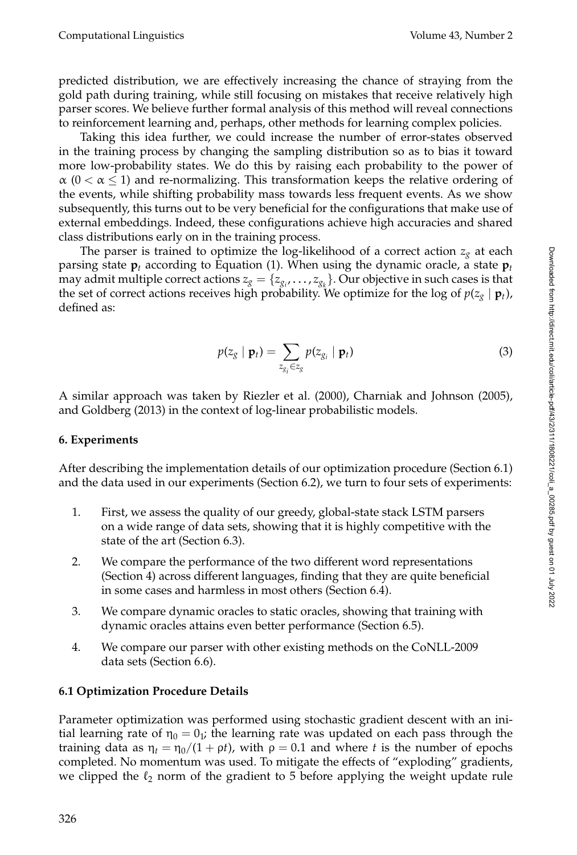predicted distribution, we are effectively increasing the chance of straying from the gold path during training, while still focusing on mistakes that receive relatively high parser scores. We believe further formal analysis of this method will reveal connections to reinforcement learning and, perhaps, other methods for learning complex policies.

Taking this idea further, we could increase the number of error-states observed in the training process by changing the sampling distribution so as to bias it toward more low-probability states. We do this by raising each probability to the power of  $\alpha$  (0  $\lt \alpha \leq$  1) and re-normalizing. This transformation keeps the relative ordering of the events, while shifting probability mass towards less frequent events. As we show subsequently, this turns out to be very beneficial for the configurations that make use of external embeddings. Indeed, these configurations achieve high accuracies and shared class distributions early on in the training process.

The parser is trained to optimize the log-likelihood of a correct action  $z_g$  at each parsing state  $\mathbf{p}_t$  according to Equation (1). When using the dynamic oracle, a state  $\mathbf{p}_t$ may admit multiple correct actions  $z_g = \{z_{g_i}, \ldots, z_{g_k}\}$ . Our objective in such cases is that the set of correct actions receives high probability. We optimize for the log of  $p(z_g | p_t)$ , defined as:

$$
p(z_g \mid \mathbf{p}_t) = \sum_{z_{g_i} \in z_g} p(z_{g_i} \mid \mathbf{p}_t)
$$
\n(3)

A similar approach was taken by Riezler et al. (2000), Charniak and Johnson (2005), and Goldberg (2013) in the context of log-linear probabilistic models.

## **6. Experiments**

After describing the implementation details of our optimization procedure (Section 6.1) and the data used in our experiments (Section 6.2), we turn to four sets of experiments:

- 1. First, we assess the quality of our greedy, global-state stack LSTM parsers on a wide range of data sets, showing that it is highly competitive with the state of the art (Section 6.3).
- 2. We compare the performance of the two different word representations (Section 4) across different languages, finding that they are quite beneficial in some cases and harmless in most others (Section 6.4).
- 3. We compare dynamic oracles to static oracles, showing that training with dynamic oracles attains even better performance (Section 6.5).
- 4. We compare our parser with other existing methods on the CoNLL-2009 data sets (Section 6.6).

## **6.1 Optimization Procedure Details**

Parameter optimization was performed using stochastic gradient descent with an initial learning rate of  $\eta_0 = 0_1$ ; the learning rate was updated on each pass through the training data as  $η_t = η_0/(1 + ρt)$ , with  $ρ = 0.1$  and where *t* is the number of epochs completed. No momentum was used. To mitigate the effects of "exploding" gradients, we clipped the  $\ell_2$  norm of the gradient to 5 before applying the weight update rule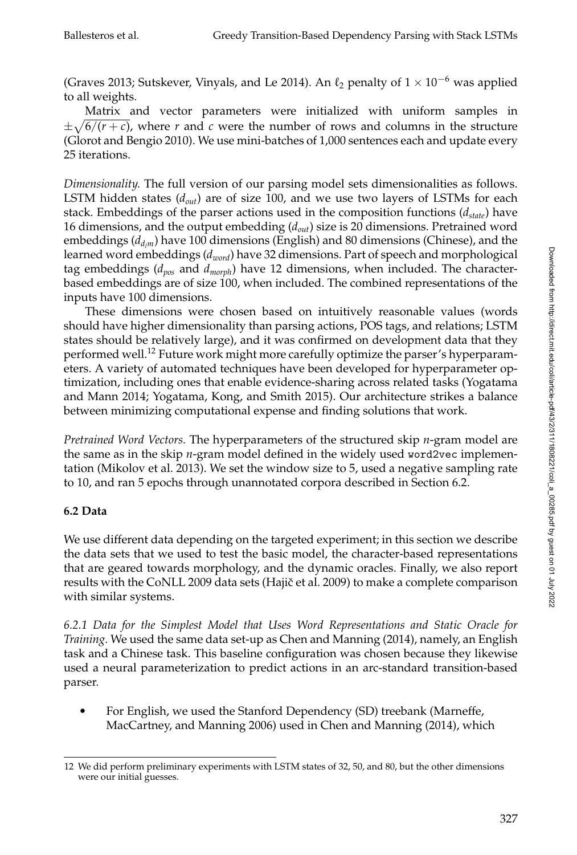(Graves 2013; Sutskever, Vinyals, and Le 2014). An  $\ell_2$  penalty of  $1 \times 10^{-6}$  was applied to all weights.

Matrix and vector parameters were initialized with uniform samples in  $\pm \sqrt{6/(r+c)}$ , where *r* and *c* were the number of rows and columns in the structure (Glorot and Bengio 2010). We use mini-batches of 1,000 sentences each and update every 25 iterations.

*Dimensionality.* The full version of our parsing model sets dimensionalities as follows. LSTM hidden states (*dout*) are of size 100, and we use two layers of LSTMs for each stack. Embeddings of the parser actions used in the composition functions (*dstate*) have 16 dimensions, and the output embedding (*dout*) size is 20 dimensions. Pretrained word embeddings (*d<sup>d</sup>l<sup>m</sup>*) have 100 dimensions (English) and 80 dimensions (Chinese), and the learned word embeddings (*dword*) have 32 dimensions. Part of speech and morphological tag embeddings (*dpos* and *dmorph*) have 12 dimensions, when included. The characterbased embeddings are of size 100, when included. The combined representations of the inputs have 100 dimensions.

These dimensions were chosen based on intuitively reasonable values (words should have higher dimensionality than parsing actions, POS tags, and relations; LSTM states should be relatively large), and it was confirmed on development data that they performed well.<sup>12</sup> Future work might more carefully optimize the parser's hyperparameters. A variety of automated techniques have been developed for hyperparameter optimization, including ones that enable evidence-sharing across related tasks (Yogatama and Mann 2014; Yogatama, Kong, and Smith 2015). Our architecture strikes a balance between minimizing computational expense and finding solutions that work.

*Pretrained Word Vectors.* The hyperparameters of the structured skip *n*-gram model are the same as in the skip *n*-gram model defined in the widely used word2vec implementation (Mikolov et al. 2013). We set the window size to 5, used a negative sampling rate to 10, and ran 5 epochs through unannotated corpora described in Section 6.2.

## **6.2 Data**

We use different data depending on the targeted experiment; in this section we describe the data sets that we used to test the basic model, the character-based representations that are geared towards morphology, and the dynamic oracles. Finally, we also report results with the CoNLL 2009 data sets (Hajič et al. 2009) to make a complete comparison with similar systems.

*6.2.1 Data for the Simplest Model that Uses Word Representations and Static Oracle for Training.* We used the same data set-up as Chen and Manning (2014), namely, an English task and a Chinese task. This baseline configuration was chosen because they likewise used a neural parameterization to predict actions in an arc-standard transition-based parser.

r For English, we used the Stanford Dependency (SD) treebank (Marneffe, MacCartney, and Manning 2006) used in Chen and Manning (2014), which

<sup>12</sup> We did perform preliminary experiments with LSTM states of 32, 50, and 80, but the other dimensions were our initial guesses.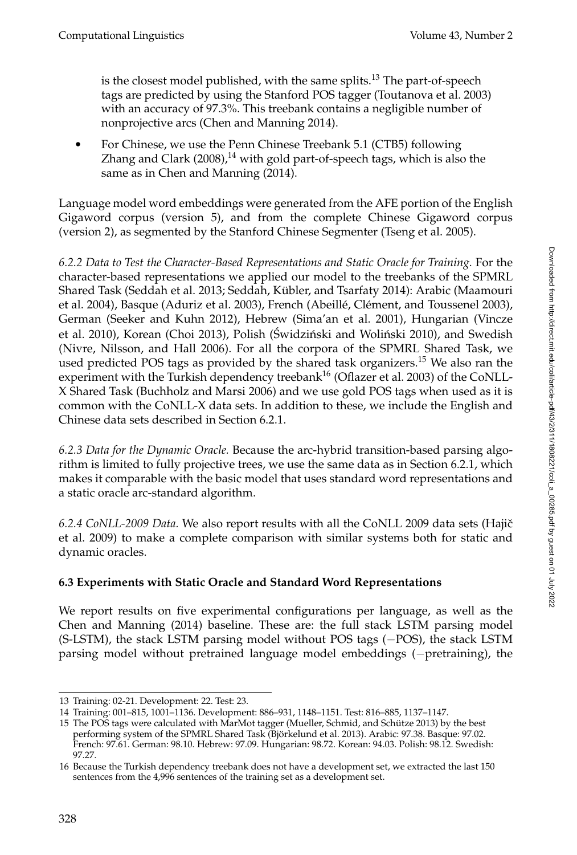is the closest model published, with the same splits. $^{13}$  The part-of-speech tags are predicted by using the Stanford POS tagger (Toutanova et al. 2003) with an accuracy of 97.3%. This treebank contains a negligible number of nonprojective arcs (Chen and Manning 2014).

• For Chinese, we use the Penn Chinese Treebank 5.1 (CTB5) following Zhang and Clark  $(2008)^{14}$  with gold part-of-speech tags, which is also the same as in Chen and Manning (2014).

Language model word embeddings were generated from the AFE portion of the English Gigaword corpus (version 5), and from the complete Chinese Gigaword corpus (version 2), as segmented by the Stanford Chinese Segmenter (Tseng et al. 2005).

*6.2.2 Data to Test the Character-Based Representations and Static Oracle for Training.* For the character-based representations we applied our model to the treebanks of the SPMRL Shared Task (Seddah et al. 2013; Seddah, Kubler, and Tsarfaty 2014): Arabic (Maamouri ¨ et al. 2004), Basque (Aduriz et al. 2003), French (Abeillé, Clément, and Toussenel 2003), German (Seeker and Kuhn 2012), Hebrew (Sima'an et al. 2001), Hungarian (Vincze et al. 2010), Korean (Choi 2013), Polish (Świdziński and Woliński 2010), and Swedish (Nivre, Nilsson, and Hall 2006). For all the corpora of the SPMRL Shared Task, we used predicted POS tags as provided by the shared task organizers.<sup>15</sup> We also ran the experiment with the Turkish dependency treebank<sup>16</sup> (Oflazer et al. 2003) of the CoNLL-X Shared Task (Buchholz and Marsi 2006) and we use gold POS tags when used as it is common with the CoNLL-X data sets. In addition to these, we include the English and Chinese data sets described in Section 6.2.1.

*6.2.3 Data for the Dynamic Oracle.* Because the arc-hybrid transition-based parsing algorithm is limited to fully projective trees, we use the same data as in Section 6.2.1, which makes it comparable with the basic model that uses standard word representations and a static oracle arc-standard algorithm.

6.2.4 CoNLL-2009 Data. We also report results with all the CoNLL 2009 data sets (Hajič et al. 2009) to make a complete comparison with similar systems both for static and dynamic oracles.

## **6.3 Experiments with Static Oracle and Standard Word Representations**

We report results on five experimental configurations per language, as well as the Chen and Manning (2014) baseline. These are: the full stack LSTM parsing model (S-LSTM), the stack LSTM parsing model without POS tags (−POS), the stack LSTM parsing model without pretrained language model embeddings (−pretraining), the

<sup>13</sup> Training: 02-21. Development: 22. Test: 23.

<sup>14</sup> Training: 001–815, 1001–1136. Development: 886–931, 1148–1151. Test: 816–885, 1137–1147.

<sup>15</sup> The POS tags were calculated with MarMot tagger (Mueller, Schmid, and Schutze 2013) by the best ¨ performing system of the SPMRL Shared Task (Bjorkelund et al. 2013). Arabic: 97.38. Basque: 97.02. ¨ French: 97.61. German: 98.10. Hebrew: 97.09. Hungarian: 98.72. Korean: 94.03. Polish: 98.12. Swedish: 97.27.

<sup>16</sup> Because the Turkish dependency treebank does not have a development set, we extracted the last 150 sentences from the 4,996 sentences of the training set as a development set.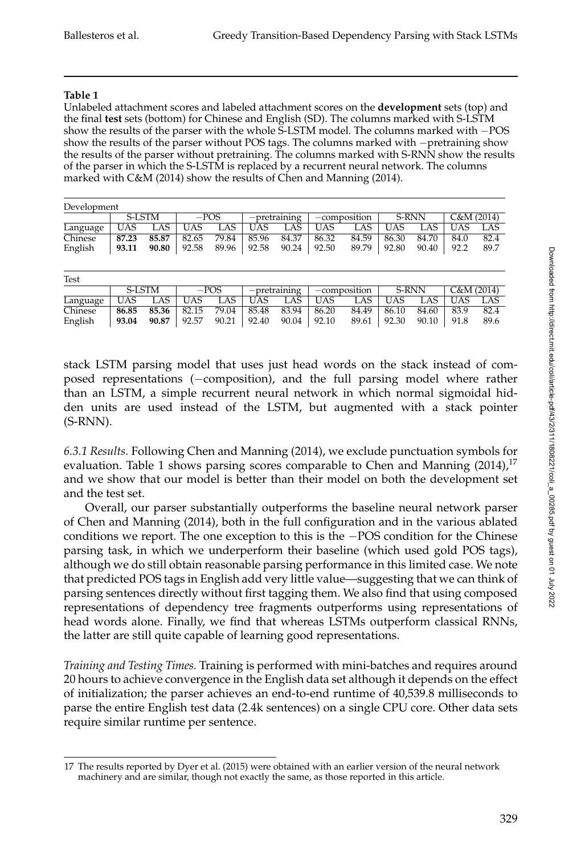Unlabeled attachment scores and labeled attachment scores on the **development** sets (top) and the final **test** sets (bottom) for Chinese and English (SD). The columns marked with S-LSTM show the results of the parser with the whole S-LSTM model. The columns marked with −POS show the results of the parser without POS tags. The columns marked with −pretraining show the results of the parser without pretraining. The columns marked with S-RNN show the results of the parser in which the S-LSTM is replaced by a recurrent neural network. The columns marked with C&M (2014) show the results of Chen and Manning (2014).

| Development                                                                                                |        |        |                                                   |  |  |                                                                                       |  |  |  |        |
|------------------------------------------------------------------------------------------------------------|--------|--------|---------------------------------------------------|--|--|---------------------------------------------------------------------------------------|--|--|--|--------|
|                                                                                                            | S-LSTM | $-POS$ | $-pretraining$ $-composition$ $S-RNN$ $C&M(2014)$ |  |  |                                                                                       |  |  |  |        |
| Language UAS LAS UAS LAS UAS LAS UAS LAS UAS LAS UAS LAS UAS LAS                                           |        |        |                                                   |  |  |                                                                                       |  |  |  |        |
| Chinese                                                                                                    |        |        |                                                   |  |  | 87.23  85.87   82.65  79.84   85.96  84.37   86.32  84.59   86.30  84.70   84.0  82.4 |  |  |  |        |
| English   $93.11$ $90.80$   $92.58$ $89.96$   $92.58$ $90.24$   $92.50$ $89.79$   $92.80$ $90.40$   $92.2$ |        |        |                                                   |  |  |                                                                                       |  |  |  | - 89.7 |

| Test     |       |                             |                                    |  |                             |                  |              |                              |       |            |      |
|----------|-------|-----------------------------|------------------------------------|--|-----------------------------|------------------|--------------|------------------------------|-------|------------|------|
|          |       | S-LSTM                      | $-POS$                             |  | $-$ pretraining $\parallel$ |                  | -composition | S-RNN                        |       | C&M (2014) |      |
| Language |       | UAS LAS UAS LAS UAS LAS     |                                    |  |                             | UAS LASIUAS LASI |              |                              |       | LUAS LAS   |      |
| Chinese  | 86.85 | 85.36   82.15 79.04   85.48 |                                    |  | 83.94                       | 86.20            |              | $84.49 \overline{86.10}$     | 84.60 | 83.9       | 82.4 |
| English  | 93.04 |                             | <b>90.87</b>   92.57 90.21   92.40 |  | 90.04 92.10                 |                  |              | $89.61$   92.30 90.10   91.8 |       |            | 89.6 |

stack LSTM parsing model that uses just head words on the stack instead of composed representations (−composition), and the full parsing model where rather than an LSTM, a simple recurrent neural network in which normal sigmoidal hidden units are used instead of the LSTM, but augmented with a stack pointer (S-RNN).

*6.3.1 Results.* Following Chen and Manning (2014), we exclude punctuation symbols for evaluation. Table 1 shows parsing scores comparable to Chen and Manning  $(2014)<sup>17</sup>$ and we show that our model is better than their model on both the development set and the test set.

Overall, our parser substantially outperforms the baseline neural network parser of Chen and Manning (2014), both in the full configuration and in the various ablated conditions we report. The one exception to this is the −POS condition for the Chinese parsing task, in which we underperform their baseline (which used gold POS tags), although we do still obtain reasonable parsing performance in this limited case. We note that predicted POS tags in English add very little value—suggesting that we can think of parsing sentences directly without first tagging them. We also find that using composed representations of dependency tree fragments outperforms using representations of head words alone. Finally, we find that whereas LSTMs outperform classical RNNs, the latter are still quite capable of learning good representations.

*Training and Testing Times.* Training is performed with mini-batches and requires around 20 hours to achieve convergence in the English data set although it depends on the effect of initialization; the parser achieves an end-to-end runtime of 40,539.8 milliseconds to parse the entire English test data (2.4k sentences) on a single CPU core. Other data sets require similar runtime per sentence.

<sup>17</sup> The results reported by Dyer et al. (2015) were obtained with an earlier version of the neural network machinery and are similar, though not exactly the same, as those reported in this article.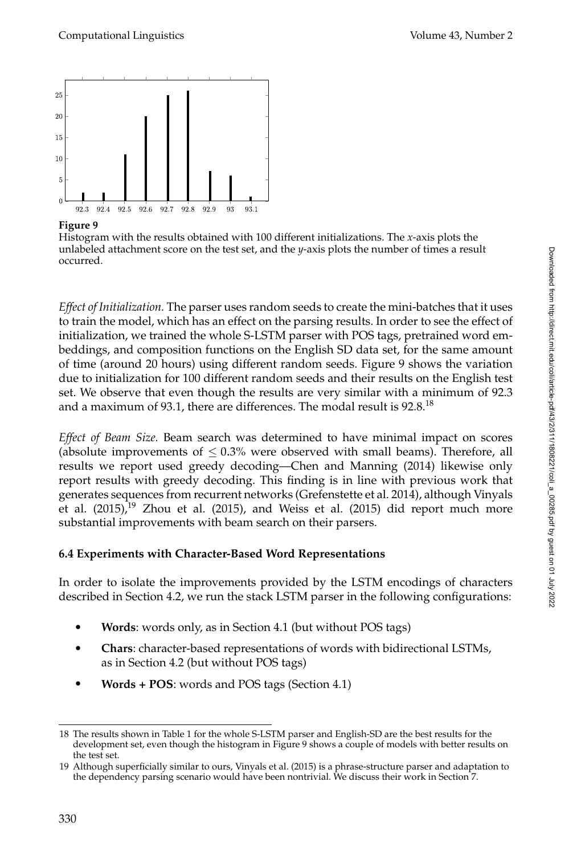

Histogram with the results obtained with 100 different initializations. The *x*-axis plots the unlabeled attachment score on the test set, and the *y*-axis plots the number of times a result occurred.

*Effect of Initialization.* The parser uses random seeds to create the mini-batches that it uses to train the model, which has an effect on the parsing results. In order to see the effect of initialization, we trained the whole S-LSTM parser with POS tags, pretrained word embeddings, and composition functions on the English SD data set, for the same amount of time (around 20 hours) using different random seeds. Figure 9 shows the variation due to initialization for 100 different random seeds and their results on the English test set. We observe that even though the results are very similar with a minimum of 92.3 and a maximum of 93.1, there are differences. The modal result is 92.8.<sup>18</sup>

*Effect of Beam Size.* Beam search was determined to have minimal impact on scores (absolute improvements of  $\leq 0.3\%$  were observed with small beams). Therefore, all results we report used greedy decoding—Chen and Manning (2014) likewise only report results with greedy decoding. This finding is in line with previous work that generates sequences from recurrent networks (Grefenstette et al. 2014), although Vinyals et al.  $(2015)$ ,<sup>19</sup> Zhou et al.  $(2015)$ , and Weiss et al.  $(2015)$  did report much more substantial improvements with beam search on their parsers.

## **6.4 Experiments with Character-Based Word Representations**

In order to isolate the improvements provided by the LSTM encodings of characters described in Section 4.2, we run the stack LSTM parser in the following configurations:

- **Words**: words only, as in Section 4.1 (but without POS tags)
- r **Chars**: character-based representations of words with bidirectional LSTMs, as in Section 4.2 (but without POS tags)
- **Words + POS**: words and POS tags (Section 4.1)

<sup>18</sup> The results shown in Table 1 for the whole S-LSTM parser and English-SD are the best results for the development set, even though the histogram in Figure 9 shows a couple of models with better results on the test set.

<sup>19</sup> Although superficially similar to ours, Vinyals et al. (2015) is a phrase-structure parser and adaptation to the dependency parsing scenario would have been nontrivial. We discuss their work in Section 7.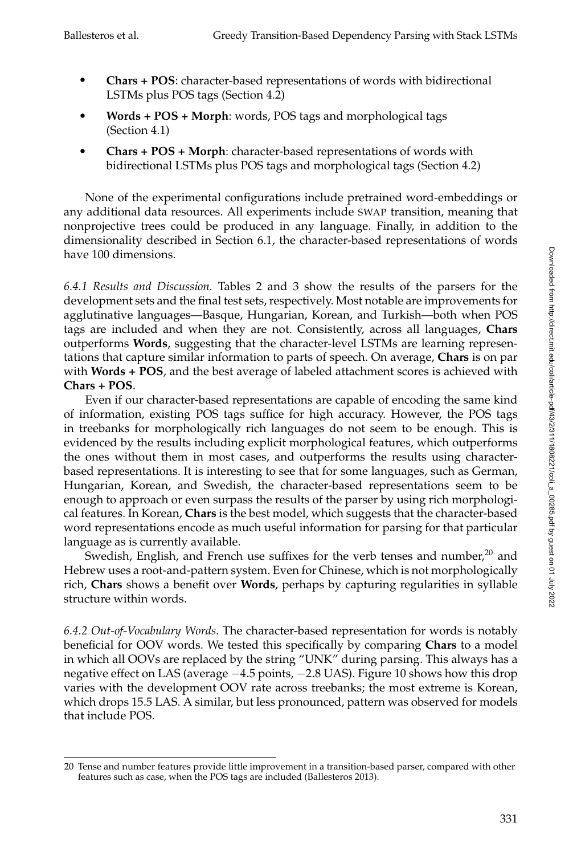- Chars + POS: character-based representations of words with bidirectional LSTMs plus POS tags (Section 4.2)
- Words + POS + Morph: words, POS tags and morphological tags (Section 4.1)
- r **Chars + POS + Morph**: character-based representations of words with bidirectional LSTMs plus POS tags and morphological tags (Section 4.2)

None of the experimental configurations include pretrained word-embeddings or any additional data resources. All experiments include SWAP transition, meaning that nonprojective trees could be produced in any language. Finally, in addition to the dimensionality described in Section 6.1, the character-based representations of words have 100 dimensions.

*6.4.1 Results and Discussion.* Tables 2 and 3 show the results of the parsers for the development sets and the final test sets, respectively. Most notable are improvements for agglutinative languages—Basque, Hungarian, Korean, and Turkish—both when POS tags are included and when they are not. Consistently, across all languages, **Chars** outperforms **Words**, suggesting that the character-level LSTMs are learning representations that capture similar information to parts of speech. On average, **Chars** is on par with **Words + POS**, and the best average of labeled attachment scores is achieved with **Chars + POS**.

Even if our character-based representations are capable of encoding the same kind of information, existing POS tags suffice for high accuracy. However, the POS tags in treebanks for morphologically rich languages do not seem to be enough. This is evidenced by the results including explicit morphological features, which outperforms the ones without them in most cases, and outperforms the results using characterbased representations. It is interesting to see that for some languages, such as German, Hungarian, Korean, and Swedish, the character-based representations seem to be enough to approach or even surpass the results of the parser by using rich morphological features. In Korean, **Chars** is the best model, which suggests that the character-based word representations encode as much useful information for parsing for that particular language as is currently available.

Swedish, English, and French use suffixes for the verb tenses and number, $2^0$  and Hebrew uses a root-and-pattern system. Even for Chinese, which is not morphologically rich, **Chars** shows a benefit over **Words**, perhaps by capturing regularities in syllable structure within words.

*6.4.2 Out-of-Vocabulary Words.* The character-based representation for words is notably beneficial for OOV words. We tested this specifically by comparing **Chars** to a model in which all OOVs are replaced by the string "UNK" during parsing. This always has a negative effect on LAS (average −4.5 points, −2.8 UAS). Figure 10 shows how this drop varies with the development OOV rate across treebanks; the most extreme is Korean, which drops 15.5 LAS. A similar, but less pronounced, pattern was observed for models that include POS.

<sup>20</sup> Tense and number features provide little improvement in a transition-based parser, compared with other features such as case, when the POS tags are included (Ballesteros 2013).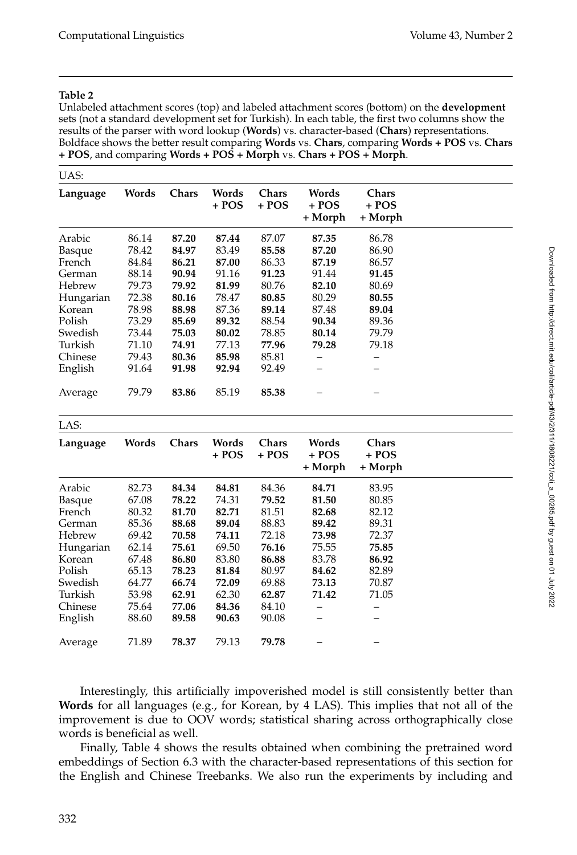Unlabeled attachment scores (top) and labeled attachment scores (bottom) on the **development** sets (not a standard development set for Turkish). In each table, the first two columns show the results of the parser with word lookup (**Words**) vs. character-based (**Chars**) representations. Boldface shows the better result comparing **Words** vs. **Chars**, comparing **Words + POS** vs. **Chars + POS**, and comparing **Words + POS + Morph** vs. **Chars + POS + Morph**.

| UAS:      |       |       |                |                |                           |                             |  |
|-----------|-------|-------|----------------|----------------|---------------------------|-----------------------------|--|
| Language  | Words | Chars | Words<br>+ POS | Chars<br>+ POS | Words<br>+ POS<br>+ Morph | Chars<br>$+ POS$<br>+ Morph |  |
| Arabic    | 86.14 | 87.20 | 87.44          | 87.07          | 87.35                     | 86.78                       |  |
| Basque    | 78.42 | 84.97 | 83.49          | 85.58          | 87.20                     | 86.90                       |  |
| French    | 84.84 | 86.21 | 87.00          | 86.33          | 87.19                     | 86.57                       |  |
| German    | 88.14 | 90.94 | 91.16          | 91.23          | 91.44                     | 91.45                       |  |
| Hebrew    | 79.73 | 79.92 | 81.99          | 80.76          | 82.10                     | 80.69                       |  |
| Hungarian | 72.38 | 80.16 | 78.47          | 80.85          | 80.29                     | 80.55                       |  |
| Korean    | 78.98 | 88.98 | 87.36          | 89.14          | 87.48                     | 89.04                       |  |
| Polish    | 73.29 | 85.69 | 89.32          | 88.54          | 90.34                     | 89.36                       |  |
| Swedish   | 73.44 | 75.03 | 80.02          | 78.85          | 80.14                     | 79.79                       |  |
| Turkish   | 71.10 | 74.91 | 77.13          | 77.96          | 79.28                     | 79.18                       |  |
| Chinese   | 79.43 | 80.36 | 85.98          | 85.81          |                           |                             |  |
| English   | 91.64 | 91.98 | 92.94          | 92.49          |                           |                             |  |
| Average   | 79.79 | 83.86 | 85.19          | 85.38          |                           |                             |  |
| LAS:      |       |       |                |                |                           |                             |  |
| Language  | Words | Chars | Words<br>+ POS | Chars<br>+ POS | Words<br>+ POS<br>+ Morph | Chars<br>$+ POS$<br>+ Morph |  |
| Arabic    | 82.73 | 84.34 | 84.81          | 84.36          | 84.71                     | 83.95                       |  |
| Basque    | 67.08 | 78.22 | 74.31          | 79.52          | 81.50                     | 80.85                       |  |
| French    | 80.32 | 81.70 | 82.71          | 81.51          | 82.68                     | 82.12                       |  |

German 85.36 **88.68 89.04** 88.83 **89.42** 89.31 Hebrew 69.42 **70.58 74.11** 72.18 **73.98** 72.37 Hungarian 62.14 **75.61** 69.50 **76.16** 75.55 **75.85** Korean 67.48 **86.80** 83.80 **86.88** 83.78 **86.92** Polish 65.13 **78.23 81.84** 80.97 **84.62** 82.89 Swedish 64.77 **66.74 72.09** 69.88 **73.13** 70.87 Turkish 53.98 **62.91** 62.30 **62.87 71.42** 71.05

Chinese 75.64 77.06 84.36 84.10<br>English 88.60 89.58 90.63 90.08

Average 71.89 **78.37** 79.13 **79.78** – –

Interestingly, this artificially impoverished model is still consistently better than **Words** for all languages (e.g., for Korean, by 4 LAS). This implies that not all of the improvement is due to OOV words; statistical sharing across orthographically close words is beneficial as well.

Finally, Table 4 shows the results obtained when combining the pretrained word embeddings of Section 6.3 with the character-based representations of this section for the English and Chinese Treebanks. We also run the experiments by including and

English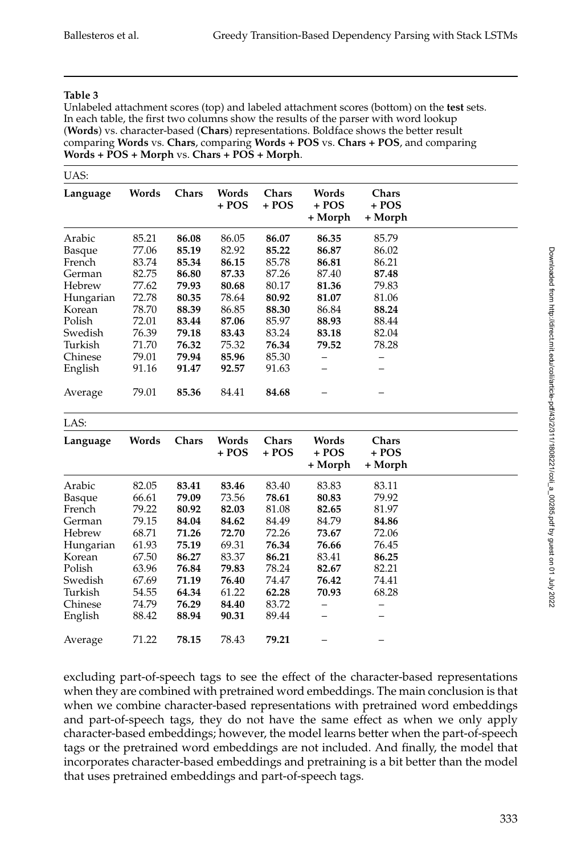LAS:

Unlabeled attachment scores (top) and labeled attachment scores (bottom) on the **test** sets. In each table, the first two columns show the results of the parser with word lookup (**Words**) vs. character-based (**Chars**) representations. Boldface shows the better result comparing **Words** vs. **Chars**, comparing **Words + POS** vs. **Chars + POS**, and comparing **Words + POS + Morph** vs. **Chars + POS + Morph**.

| UAS:      |       |       |                |                |                           |                           |  |
|-----------|-------|-------|----------------|----------------|---------------------------|---------------------------|--|
| Language  | Words | Chars | Words<br>+ POS | Chars<br>+ POS | Words<br>+ POS<br>+ Morph | Chars<br>+ POS<br>+ Morph |  |
| Arabic    | 85.21 | 86.08 | 86.05          | 86.07          | 86.35                     | 85.79                     |  |
| Basque    | 77.06 | 85.19 | 82.92          | 85.22          | 86.87                     | 86.02                     |  |
| French    | 83.74 | 85.34 | 86.15          | 85.78          | 86.81                     | 86.21                     |  |
| German    | 82.75 | 86.80 | 87.33          | 87.26          | 87.40                     | 87.48                     |  |
| Hebrew    | 77.62 | 79.93 | 80.68          | 80.17          | 81.36                     | 79.83                     |  |
| Hungarian | 72.78 | 80.35 | 78.64          | 80.92          | 81.07                     | 81.06                     |  |
| Korean    | 78.70 | 88.39 | 86.85          | 88.30          | 86.84                     | 88.24                     |  |
| Polish    | 72.01 | 83.44 | 87.06          | 85.97          | 88.93                     | 88.44                     |  |
| Swedish   | 76.39 | 79.18 | 83.43          | 83.24          | 83.18                     | 82.04                     |  |
| Turkish   | 71.70 | 76.32 | 75.32          | 76.34          | 79.52                     | 78.28                     |  |
| Chinese   | 79.01 | 79.94 | 85.96          | 85.30          |                           |                           |  |
| English   | 91.16 | 91.47 | 92.57          | 91.63          |                           |                           |  |
| Average   | 79.01 | 85.36 | 84.41          | 84.68          |                           |                           |  |

| Language  | Words | Chars | Words<br>$+ POS$ | Chars<br>$+ POS$ | Words<br>$+ POS$<br>+ Morph | Chars<br>+ POS<br>+ Morph |
|-----------|-------|-------|------------------|------------------|-----------------------------|---------------------------|
| Arabic    | 82.05 | 83.41 | 83.46            | 83.40            | 83.83                       | 83.11                     |
| Basque    | 66.61 | 79.09 | 73.56            | 78.61            | 80.83                       | 79.92                     |
| French    | 79.22 | 80.92 | 82.03            | 81.08            | 82.65                       | 81.97                     |
| German    | 79.15 | 84.04 | 84.62            | 84.49            | 84.79                       | 84.86                     |
| Hebrew    | 68.71 | 71.26 | 72.70            | 72.26            | 73.67                       | 72.06                     |
| Hungarian | 61.93 | 75.19 | 69.31            | 76.34            | 76.66                       | 76.45                     |
| Korean    | 67.50 | 86.27 | 83.37            | 86.21            | 83.41                       | 86.25                     |
| Polish    | 63.96 | 76.84 | 79.83            | 78.24            | 82.67                       | 82.21                     |
| Swedish   | 67.69 | 71.19 | 76.40            | 74.47            | 76.42                       | 74.41                     |
| Turkish   | 54.55 | 64.34 | 61.22            | 62.28            | 70.93                       | 68.28                     |
| Chinese   | 74.79 | 76.29 | 84.40            | 83.72            |                             |                           |
| English   | 88.42 | 88.94 | 90.31            | 89.44            |                             |                           |
| Average   | 71.22 | 78.15 | 78.43            | 79.21            |                             |                           |

excluding part-of-speech tags to see the effect of the character-based representations when they are combined with pretrained word embeddings. The main conclusion is that when we combine character-based representations with pretrained word embeddings and part-of-speech tags, they do not have the same effect as when we only apply character-based embeddings; however, the model learns better when the part-of-speech tags or the pretrained word embeddings are not included. And finally, the model that incorporates character-based embeddings and pretraining is a bit better than the model that uses pretrained embeddings and part-of-speech tags.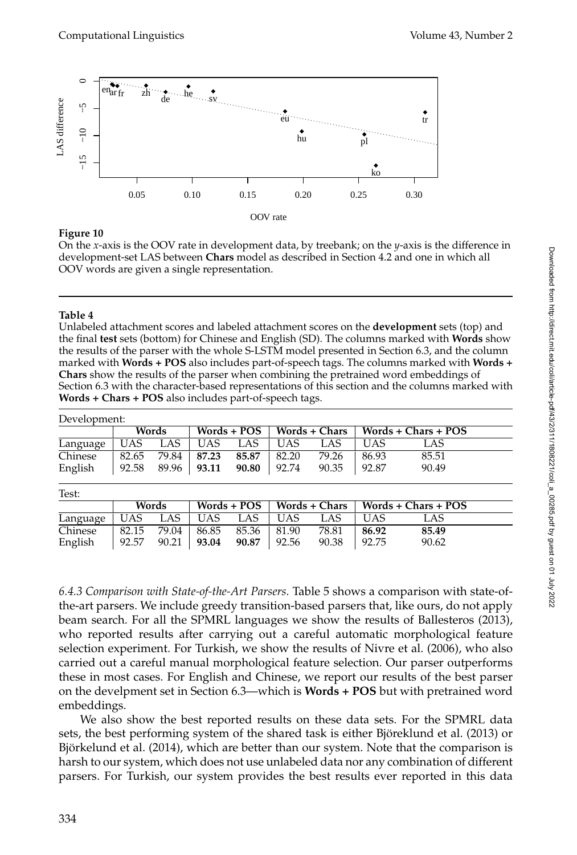

On the *x*-axis is the OOV rate in development data, by treebank; on the *y*-axis is the difference in development-set LAS between **Chars** model as described in Section 4.2 and one in which all OOV words are given a single representation.

#### **Table 4**

Unlabeled attachment scores and labeled attachment scores on the **development** sets (top) and the final **test** sets (bottom) for Chinese and English (SD). The columns marked with **Words** show the results of the parser with the whole S-LSTM model presented in Section 6.3, and the column marked with **Words + POS** also includes part-of-speech tags. The columns marked with **Words + Chars** show the results of the parser when combining the pretrained word embeddings of Section 6.3 with the character-based representations of this section and the columns marked with **Words + Chars + POS** also includes part-of-speech tags.

| Development: |       | <b>Words</b>                   |     |                      |       | Words + $POS$   Words + Chars |       | Words + Chars + POS |
|--------------|-------|--------------------------------|-----|----------------------|-------|-------------------------------|-------|---------------------|
| Language     | UAS   | LAS                            | UAS | LAS                  | UAS.  | LAS                           | UAS   | LAS                 |
| Chinese      | 82.65 | 79.84   87.23                  |     | 85.87                | 82.20 | 79.26                         | 86.93 | 85.51               |
| English      |       | $92.58$ $89.96$   <b>93.11</b> |     | <b>90.80</b>   92.74 |       | 90.35                         | 92.87 | 90.49               |

| Test:                        |              |                                           |         |                               |       |                     |  |
|------------------------------|--------------|-------------------------------------------|---------|-------------------------------|-------|---------------------|--|
|                              | <b>Words</b> |                                           |         | Words + $POS$   Words + Chars |       | Words + Chars + POS |  |
| Language   UAS LAS   UAS LAS |              |                                           | UAS LAS |                               | UAS.  | LAS                 |  |
| Chinese                      |              | $82.15$ 79.04   86.85 85.36   81.90       |         | 78.81                         | 86.92 | 85.49               |  |
| English                      |              | $\vert$ 92.57 90.21   93.04 90.87   92.56 |         | 90.38 92.75                   |       | 90.62               |  |

*6.4.3 Comparison with State-of-the-Art Parsers.* Table 5 shows a comparison with state-ofthe-art parsers. We include greedy transition-based parsers that, like ours, do not apply beam search. For all the SPMRL languages we show the results of Ballesteros (2013), who reported results after carrying out a careful automatic morphological feature selection experiment. For Turkish, we show the results of Nivre et al. (2006), who also carried out a careful manual morphological feature selection. Our parser outperforms these in most cases. For English and Chinese, we report our results of the best parser on the develpment set in Section 6.3—which is **Words + POS** but with pretrained word embeddings.

We also show the best reported results on these data sets. For the SPMRL data sets, the best performing system of the shared task is either Björeklund et al. (2013) or Björkelund et al. (2014), which are better than our system. Note that the comparison is harsh to our system, which does not use unlabeled data nor any combination of different parsers. For Turkish, our system provides the best results ever reported in this data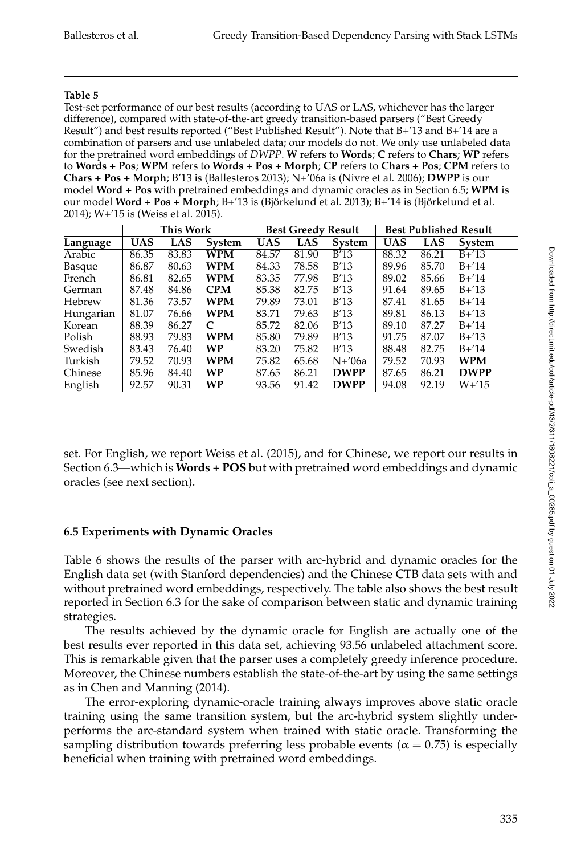Test-set performance of our best results (according to UAS or LAS, whichever has the larger difference), compared with state-of-the-art greedy transition-based parsers ("Best Greedy Result") and best results reported ("Best Published Result"). Note that B+'13 and B+'14 are a combination of parsers and use unlabeled data; our models do not. We only use unlabeled data for the pretrained word embeddings of *DWPP*. **W** refers to **Words**; **C** refers to **Chars**; **WP** refers to **Words + Pos**; **WPM** refers to **Words + Pos + Morph**; **CP** refers to **Chars + Pos**; **CPM** refers to **Chars + Pos + Morph**; B'13 is (Ballesteros 2013); N+'06a is (Nivre et al. 2006); **DWPP** is our model **Word + Pos** with pretrained embeddings and dynamic oracles as in Section 6.5; **WPM** is our model **Word + Pos + Morph**; B+'13 is (Björkelund et al. 2013); B+'14 is (Björkelund et al. 2014); W+'15 is (Weiss et al. 2015).

|           |            | This Work |            |            | <b>Best Greedy Result</b> |             |            | <b>Best Published Result</b> |             |  |
|-----------|------------|-----------|------------|------------|---------------------------|-------------|------------|------------------------------|-------------|--|
| Language  | <b>UAS</b> | LAS       | System     | <b>UAS</b> | LAS                       | System      | <b>UAS</b> | LAS                          | System      |  |
| Arabic    | 86.35      | 83.83     | WPM        | 84.57      | 81.90                     | B'13        | 88.32      | 86.21                        | $B+13$      |  |
| Basque    | 86.87      | 80.63     | <b>WPM</b> | 84.33      | 78.58                     | B'13        | 89.96      | 85.70                        | $B+'14$     |  |
| French    | 86.81      | 82.65     | <b>WPM</b> | 83.35      | 77.98                     | B'13        | 89.02      | 85.66                        | $B+'14$     |  |
| German    | 87.48      | 84.86     | <b>CPM</b> | 85.38      | 82.75                     | B'13        | 91.64      | 89.65                        | $B+'13$     |  |
| Hebrew    | 81.36      | 73.57     | <b>WPM</b> | 79.89      | 73.01                     | B'13        | 87.41      | 81.65                        | $B+'14$     |  |
| Hungarian | 81.07      | 76.66     | <b>WPM</b> | 83.71      | 79.63                     | B'13        | 89.81      | 86.13                        | $B+13$      |  |
| Korean    | 88.39      | 86.27     | C          | 85.72      | 82.06                     | B'13        | 89.10      | 87.27                        | $B+'14$     |  |
| Polish    | 88.93      | 79.83     | <b>WPM</b> | 85.80      | 79.89                     | B'13        | 91.75      | 87.07                        | $B+'13$     |  |
| Swedish   | 83.43      | 76.40     | <b>WP</b>  | 83.20      | 75.82                     | B'13        | 88.48      | 82.75                        | $B+'14$     |  |
| Turkish   | 79.52      | 70.93     | <b>WPM</b> | 75.82      | 65.68                     | $N+′06a$    | 79.52      | 70.93                        | <b>WPM</b>  |  |
| Chinese   | 85.96      | 84.40     | <b>WP</b>  | 87.65      | 86.21                     | <b>DWPP</b> | 87.65      | 86.21                        | <b>DWPP</b> |  |
| English   | 92.57      | 90.31     | <b>WP</b>  | 93.56      | 91.42                     | <b>DWPP</b> | 94.08      | 92.19                        | $W+15$      |  |

set. For English, we report Weiss et al. (2015), and for Chinese, we report our results in Section 6.3—which is **Words + POS** but with pretrained word embeddings and dynamic oracles (see next section).

## **6.5 Experiments with Dynamic Oracles**

Table 6 shows the results of the parser with arc-hybrid and dynamic oracles for the English data set (with Stanford dependencies) and the Chinese CTB data sets with and without pretrained word embeddings, respectively. The table also shows the best result reported in Section 6.3 for the sake of comparison between static and dynamic training strategies.

The results achieved by the dynamic oracle for English are actually one of the best results ever reported in this data set, achieving 93.56 unlabeled attachment score. This is remarkable given that the parser uses a completely greedy inference procedure. Moreover, the Chinese numbers establish the state-of-the-art by using the same settings as in Chen and Manning (2014).

The error-exploring dynamic-oracle training always improves above static oracle training using the same transition system, but the arc-hybrid system slightly underperforms the arc-standard system when trained with static oracle. Transforming the sampling distribution towards preferring less probable events ( $\alpha = 0.75$ ) is especially beneficial when training with pretrained word embeddings.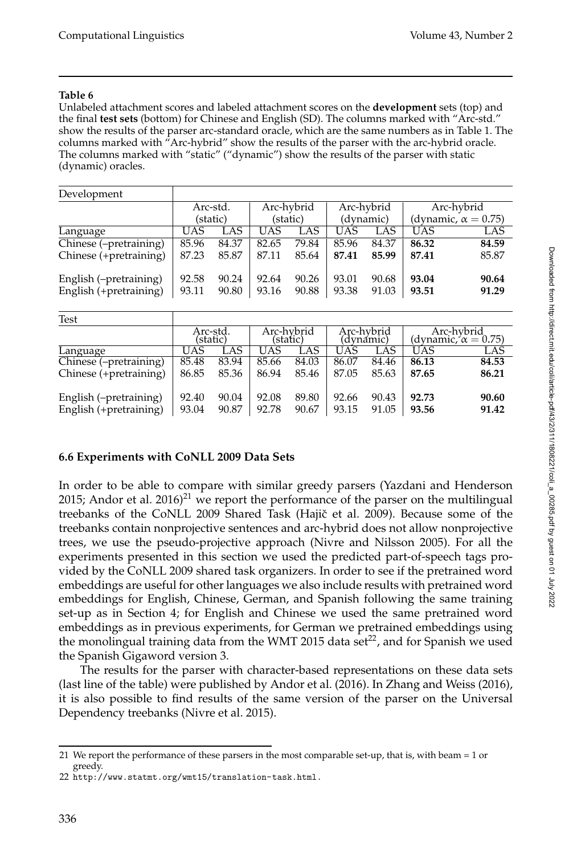Unlabeled attachment scores and labeled attachment scores on the **development** sets (top) and the final **test sets** (bottom) for Chinese and English (SD). The columns marked with "Arc-std." show the results of the parser arc-standard oracle, which are the same numbers as in Table 1. The columns marked with "Arc-hybrid" show the results of the parser with the arc-hybrid oracle. The columns marked with "static" ("dynamic") show the results of the parser with static (dynamic) oracles.

| Development                                      |                |                |                |                |                |                |                |                             |
|--------------------------------------------------|----------------|----------------|----------------|----------------|----------------|----------------|----------------|-----------------------------|
|                                                  |                | Arc-std.       |                | Arc-hybrid     |                | Arc-hybrid     |                | Arc-hybrid                  |
|                                                  |                | (static)       |                | (static)       |                | (dynamic)      |                | (dynamic, $\alpha = 0.75$ ) |
| Language                                         | UAS            | LAS            | UAS            | LAS            | UAS            | LAS            | UAS            | LAS                         |
| Chinese (-pretraining)                           | 85.96          | 84.37          | 82.65          | 79.84          | 85.96          | 84.37          | 86.32          | 84.59                       |
| Chinese (+pretraining)                           | 87.23          | 85.87          | 87.11          | 85.64          | 87.41          | 85.99          | 87.41          | 85.87                       |
| English (-pretraining)<br>English (+pretraining) | 92.58<br>93.11 | 90.24<br>90.80 | 92.64<br>93.16 | 90.26<br>90.88 | 93.01<br>93.38 | 90.68<br>91.03 | 93.04<br>93.51 | 90.64<br>91.29              |

| <b>Test</b>            |                      |       |                        |       |                         |       |                                           |       |
|------------------------|----------------------|-------|------------------------|-------|-------------------------|-------|-------------------------------------------|-------|
|                        | Arc-std.<br>(static) |       | Arc-hybrid<br>(static) |       | Arc-hvbrid<br>(dvnámic) |       | Arc-hybrid<br>(dynamic, $\alpha = 0.75$ ) |       |
| Language               | UAS                  | LAS   | UAS                    | LAS   | UAS                     | LAS   | UAS                                       | LAS   |
| Chinese (-pretraining) | 85.48                | 83.94 | 85.66                  | 84.03 | 86.07                   | 84.46 | 86.13                                     | 84.53 |
| Chinese (+pretraining) | 86.85                | 85.36 | 86.94                  | 85.46 | 87.05                   | 85.63 | 87.65                                     | 86.21 |
| English (-pretraining) | 92.40                | 90.04 | 92.08                  | 89.80 | 92.66                   | 90.43 | 92.73                                     | 90.60 |
| English (+pretraining) | 93.04                | 90.87 | 92.78                  | 90.67 | 93.15                   | 91.05 | 93.56                                     | 91.42 |

## **6.6 Experiments with CoNLL 2009 Data Sets**

In order to be able to compare with similar greedy parsers (Yazdani and Henderson 2015; Andor et al. 2016)<sup>21</sup> we report the performance of the parser on the multilingual treebanks of the CoNLL 2009 Shared Task (Hajič et al. 2009). Because some of the treebanks contain nonprojective sentences and arc-hybrid does not allow nonprojective trees, we use the pseudo-projective approach (Nivre and Nilsson 2005). For all the experiments presented in this section we used the predicted part-of-speech tags provided by the CoNLL 2009 shared task organizers. In order to see if the pretrained word embeddings are useful for other languages we also include results with pretrained word embeddings for English, Chinese, German, and Spanish following the same training set-up as in Section 4; for English and Chinese we used the same pretrained word embeddings as in previous experiments, for German we pretrained embeddings using the monolingual training data from the WMT 2015 data set<sup>22</sup>, and for Spanish we used the Spanish Gigaword version 3.

The results for the parser with character-based representations on these data sets (last line of the table) were published by Andor et al. (2016). In Zhang and Weiss (2016), it is also possible to find results of the same version of the parser on the Universal Dependency treebanks (Nivre et al. 2015).

<sup>21</sup> We report the performance of these parsers in the most comparable set-up, that is, with beam = 1 or greedy.

<sup>22</sup> http://www.statmt.org/wmt15/translation-task.html.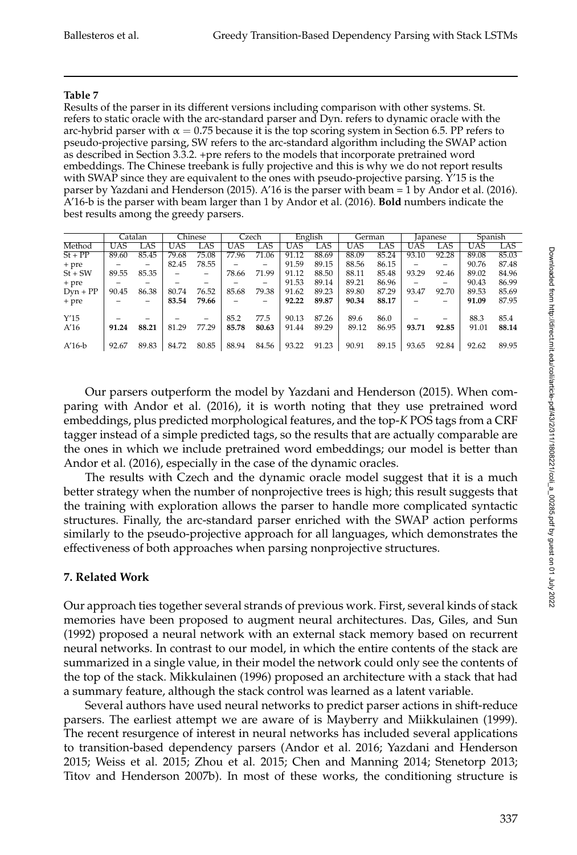Results of the parser in its different versions including comparison with other systems. St. refers to static oracle with the arc-standard parser and Dyn. refers to dynamic oracle with the arc-hybrid parser with  $\alpha = 0.75$  because it is the top scoring system in Section 6.5. PP refers to pseudo-projective parsing, SW refers to the arc-standard algorithm including the SWAP action as described in Section 3.3.2. +pre refers to the models that incorporate pretrained word embeddings. The Chinese treebank is fully projective and this is why we do not report results with SWAP since they are equivalent to the ones with pseudo-projective parsing. Y'15 is the parser by Yazdani and Henderson (2015). A'16 is the parser with beam = 1 by Andor et al. (2016). A'16-b is the parser with beam larger than 1 by Andor et al. (2016). **Bold** numbers indicate the best results among the greedy parsers.

|              | Catalan |       | Chinese    |       | Czech         |               | English        |                | German        |               | lapanese |       | Spanish       |               |
|--------------|---------|-------|------------|-------|---------------|---------------|----------------|----------------|---------------|---------------|----------|-------|---------------|---------------|
| Method       | UAS     | LAS   | <b>UAS</b> | LAS   | <b>UAS</b>    | LAS           | <b>UAS</b>     | LAS            | UAS           | LAS           | UAS      | LAS   | UAS           | LAS           |
| $St + PP$    | 89.60   | 85.45 | 79.68      | 75.08 | 77.96         | 71.06         | 91.12          | 88.69          | 88.09         | 85.24         | 93.10    | 92.28 | 89.08         | 85.03         |
| + pre        |         |       | 82.45      | 78.55 |               |               | 91.59          | 89.15          | 88.56         | 86.15         |          | -     | 90.76         | 87.48         |
| $St + SW$    | 89.55   | 85.35 |            | -     | 78.66         | 71.99         | 91.12          | 88.50          | 88.11         | 85.48         | 93.29    | 92.46 | 89.02         | 84.96         |
| + pre        |         |       |            |       |               |               | 91.53          | 89.14          | 89.21         | 86.96         |          | -     | 90.43         | 86.99         |
| $Dyn + PP$   | 90.45   | 86.38 | 80.74      | 76.52 | 85.68         | 79.38         | 91.62          | 89.23          | 89.80         | 87.29         | 93.47    | 92.70 | 89.53         | 85.69         |
| + pre        |         |       | 83.54      | 79.66 |               |               | 92.22          | 89.87          | 90.34         | 88.17         |          |       | 91.09         | 87.95         |
| Y'15<br>A'16 | 91.24   | 88.21 | 81.29      | 77.29 | 85.2<br>85.78 | 77.5<br>80.63 | 90.13<br>91.44 | 87.26<br>89.29 | 89.6<br>89.12 | 86.0<br>86.95 | 93.71    | 92.85 | 88.3<br>91.01 | 85.4<br>88.14 |
| $A'16-b$     | 92.67   | 89.83 | 84.72      | 80.85 | 88.94         | 84.56         | 93.22          | 91.23          | 90.91         | 89.15         | 93.65    | 92.84 | 92.62         | 89.95         |

Our parsers outperform the model by Yazdani and Henderson (2015). When comparing with Andor et al. (2016), it is worth noting that they use pretrained word embeddings, plus predicted morphological features, and the top-*K* POS tags from a CRF tagger instead of a simple predicted tags, so the results that are actually comparable are the ones in which we include pretrained word embeddings; our model is better than Andor et al. (2016), especially in the case of the dynamic oracles.

The results with Czech and the dynamic oracle model suggest that it is a much better strategy when the number of nonprojective trees is high; this result suggests that the training with exploration allows the parser to handle more complicated syntactic structures. Finally, the arc-standard parser enriched with the SWAP action performs similarly to the pseudo-projective approach for all languages, which demonstrates the effectiveness of both approaches when parsing nonprojective structures.

## **7. Related Work**

Our approach ties together several strands of previous work. First, several kinds of stack memories have been proposed to augment neural architectures. Das, Giles, and Sun (1992) proposed a neural network with an external stack memory based on recurrent neural networks. In contrast to our model, in which the entire contents of the stack are summarized in a single value, in their model the network could only see the contents of the top of the stack. Mikkulainen (1996) proposed an architecture with a stack that had a summary feature, although the stack control was learned as a latent variable.

Several authors have used neural networks to predict parser actions in shift-reduce parsers. The earliest attempt we are aware of is Mayberry and Miikkulainen (1999). The recent resurgence of interest in neural networks has included several applications to transition-based dependency parsers (Andor et al. 2016; Yazdani and Henderson 2015; Weiss et al. 2015; Zhou et al. 2015; Chen and Manning 2014; Stenetorp 2013; Titov and Henderson 2007b). In most of these works, the conditioning structure is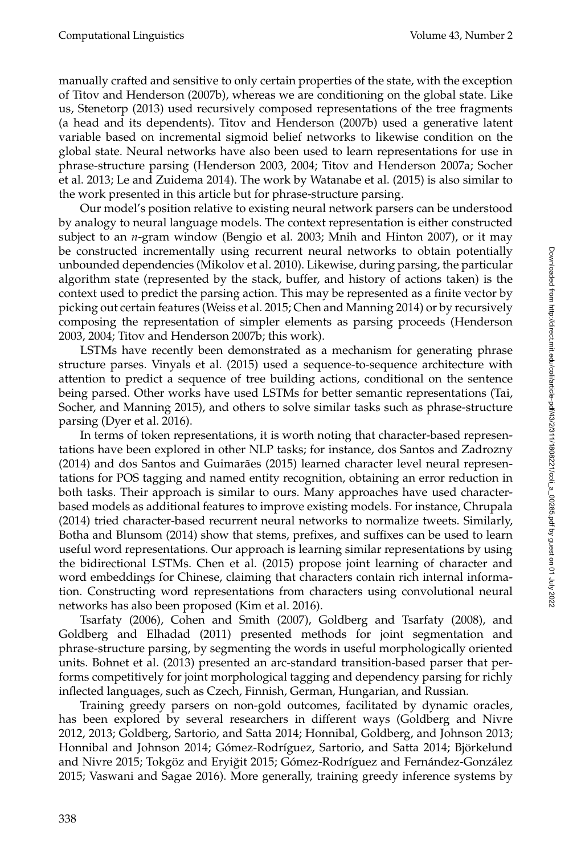manually crafted and sensitive to only certain properties of the state, with the exception of Titov and Henderson (2007b), whereas we are conditioning on the global state. Like us, Stenetorp (2013) used recursively composed representations of the tree fragments (a head and its dependents). Titov and Henderson (2007b) used a generative latent variable based on incremental sigmoid belief networks to likewise condition on the global state. Neural networks have also been used to learn representations for use in phrase-structure parsing (Henderson 2003, 2004; Titov and Henderson 2007a; Socher et al. 2013; Le and Zuidema 2014). The work by Watanabe et al. (2015) is also similar to the work presented in this article but for phrase-structure parsing.

Our model's position relative to existing neural network parsers can be understood by analogy to neural language models. The context representation is either constructed subject to an *n*-gram window (Bengio et al. 2003; Mnih and Hinton 2007), or it may be constructed incrementally using recurrent neural networks to obtain potentially unbounded dependencies (Mikolov et al. 2010). Likewise, during parsing, the particular algorithm state (represented by the stack, buffer, and history of actions taken) is the context used to predict the parsing action. This may be represented as a finite vector by picking out certain features (Weiss et al. 2015; Chen and Manning 2014) or by recursively composing the representation of simpler elements as parsing proceeds (Henderson 2003, 2004; Titov and Henderson 2007b; this work).

LSTMs have recently been demonstrated as a mechanism for generating phrase structure parses. Vinyals et al. (2015) used a sequence-to-sequence architecture with attention to predict a sequence of tree building actions, conditional on the sentence being parsed. Other works have used LSTMs for better semantic representations (Tai, Socher, and Manning 2015), and others to solve similar tasks such as phrase-structure parsing (Dyer et al. 2016).

In terms of token representations, it is worth noting that character-based representations have been explored in other NLP tasks; for instance, dos Santos and Zadrozny  $(2014)$  and dos Santos and Guimarães  $(2015)$  learned character level neural representations for POS tagging and named entity recognition, obtaining an error reduction in both tasks. Their approach is similar to ours. Many approaches have used characterbased models as additional features to improve existing models. For instance, Chrupala (2014) tried character-based recurrent neural networks to normalize tweets. Similarly, Botha and Blunsom (2014) show that stems, prefixes, and suffixes can be used to learn useful word representations. Our approach is learning similar representations by using the bidirectional LSTMs. Chen et al. (2015) propose joint learning of character and word embeddings for Chinese, claiming that characters contain rich internal information. Constructing word representations from characters using convolutional neural networks has also been proposed (Kim et al. 2016).

Tsarfaty (2006), Cohen and Smith (2007), Goldberg and Tsarfaty (2008), and Goldberg and Elhadad (2011) presented methods for joint segmentation and phrase-structure parsing, by segmenting the words in useful morphologically oriented units. Bohnet et al. (2013) presented an arc-standard transition-based parser that performs competitively for joint morphological tagging and dependency parsing for richly inflected languages, such as Czech, Finnish, German, Hungarian, and Russian.

Training greedy parsers on non-gold outcomes, facilitated by dynamic oracles, has been explored by several researchers in different ways (Goldberg and Nivre 2012, 2013; Goldberg, Sartorio, and Satta 2014; Honnibal, Goldberg, and Johnson 2013; Honnibal and Johnson 2014; Gómez-Rodríguez, Sartorio, and Satta 2014; Björkelund and Nivre 2015; Tokgöz and Eryiğit 2015; Gómez-Rodríguez and Fernández-González 2015; Vaswani and Sagae 2016). More generally, training greedy inference systems by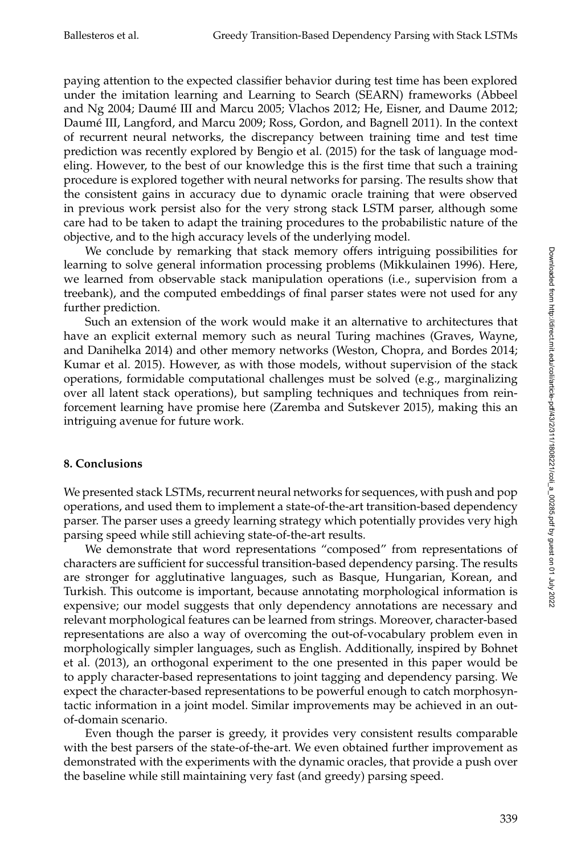paying attention to the expected classifier behavior during test time has been explored under the imitation learning and Learning to Search (SEARN) frameworks (Abbeel and Ng 2004; Daume III and Marcu 2005; Vlachos 2012; He, Eisner, and Daume 2012; ´ Daume III, Langford, and Marcu 2009; Ross, Gordon, and Bagnell 2011). In the context ´ of recurrent neural networks, the discrepancy between training time and test time prediction was recently explored by Bengio et al. (2015) for the task of language modeling. However, to the best of our knowledge this is the first time that such a training procedure is explored together with neural networks for parsing. The results show that the consistent gains in accuracy due to dynamic oracle training that were observed in previous work persist also for the very strong stack LSTM parser, although some care had to be taken to adapt the training procedures to the probabilistic nature of the objective, and to the high accuracy levels of the underlying model.

We conclude by remarking that stack memory offers intriguing possibilities for learning to solve general information processing problems (Mikkulainen 1996). Here, we learned from observable stack manipulation operations (i.e., supervision from a treebank), and the computed embeddings of final parser states were not used for any further prediction.

Such an extension of the work would make it an alternative to architectures that have an explicit external memory such as neural Turing machines (Graves, Wayne, and Danihelka 2014) and other memory networks (Weston, Chopra, and Bordes 2014; Kumar et al. 2015). However, as with those models, without supervision of the stack operations, formidable computational challenges must be solved (e.g., marginalizing over all latent stack operations), but sampling techniques and techniques from reinforcement learning have promise here (Zaremba and Sutskever 2015), making this an intriguing avenue for future work.

## **8. Conclusions**

We presented stack LSTMs, recurrent neural networks for sequences, with push and pop operations, and used them to implement a state-of-the-art transition-based dependency parser. The parser uses a greedy learning strategy which potentially provides very high parsing speed while still achieving state-of-the-art results.

We demonstrate that word representations "composed" from representations of characters are sufficient for successful transition-based dependency parsing. The results are stronger for agglutinative languages, such as Basque, Hungarian, Korean, and Turkish. This outcome is important, because annotating morphological information is expensive; our model suggests that only dependency annotations are necessary and relevant morphological features can be learned from strings. Moreover, character-based representations are also a way of overcoming the out-of-vocabulary problem even in morphologically simpler languages, such as English. Additionally, inspired by Bohnet et al. (2013), an orthogonal experiment to the one presented in this paper would be to apply character-based representations to joint tagging and dependency parsing. We expect the character-based representations to be powerful enough to catch morphosyntactic information in a joint model. Similar improvements may be achieved in an outof-domain scenario.

Even though the parser is greedy, it provides very consistent results comparable with the best parsers of the state-of-the-art. We even obtained further improvement as demonstrated with the experiments with the dynamic oracles, that provide a push over the baseline while still maintaining very fast (and greedy) parsing speed.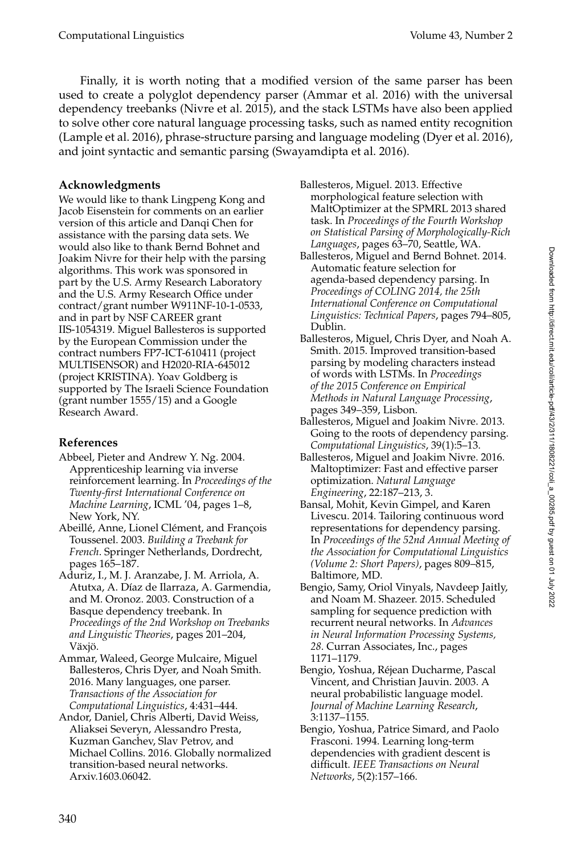Finally, it is worth noting that a modified version of the same parser has been used to create a polyglot dependency parser (Ammar et al. 2016) with the universal dependency treebanks (Nivre et al. 2015), and the stack LSTMs have also been applied to solve other core natural language processing tasks, such as named entity recognition (Lample et al. 2016), phrase-structure parsing and language modeling (Dyer et al. 2016), and joint syntactic and semantic parsing (Swayamdipta et al. 2016).

## **Acknowledgments**

We would like to thank Lingpeng Kong and Jacob Eisenstein for comments on an earlier version of this article and Danqi Chen for assistance with the parsing data sets. We would also like to thank Bernd Bohnet and Joakim Nivre for their help with the parsing algorithms. This work was sponsored in part by the U.S. Army Research Laboratory and the U.S. Army Research Office under contract/grant number W911NF-10-1-0533, and in part by NSF CAREER grant IIS-1054319. Miguel Ballesteros is supported by the European Commission under the contract numbers FP7-ICT-610411 (project MULTISENSOR) and H2020-RIA-645012 (project KRISTINA). Yoav Goldberg is supported by The Israeli Science Foundation (grant number 1555/15) and a Google Research Award.

## **References**

- Abbeel, Pieter and Andrew Y. Ng. 2004. Apprenticeship learning via inverse reinforcement learning. In *Proceedings of the Twenty-first International Conference on Machine Learning*, ICML '04, pages 1–8, New York, NY.
- Abeillé, Anne, Lionel Clément, and François Toussenel. 2003. *Building a Treebank for French*. Springer Netherlands, Dordrecht, pages 165–187.
- Aduriz, I., M. J. Aranzabe, J. M. Arriola, A. Atutxa, A. Díaz de Ilarraza, A. Garmendia, and M. Oronoz. 2003. Construction of a Basque dependency treebank. In *Proceedings of the 2nd Workshop on Treebanks and Linguistic Theories*, pages 201–204, Växjö.
- Ammar, Waleed, George Mulcaire, Miguel Ballesteros, Chris Dyer, and Noah Smith. 2016. Many languages, one parser. *Transactions of the Association for Computational Linguistics*, 4:431–444.
- Andor, Daniel, Chris Alberti, David Weiss, Aliaksei Severyn, Alessandro Presta, Kuzman Ganchev, Slav Petrov, and Michael Collins. 2016. Globally normalized transition-based neural networks. Arxiv.1603.06042.
- Ballesteros, Miguel. 2013. Effective morphological feature selection with MaltOptimizer at the SPMRL 2013 shared task. In *Proceedings of the Fourth Workshop on Statistical Parsing of Morphologically-Rich Languages*, pages 63–70, Seattle, WA.
- Ballesteros, Miguel and Bernd Bohnet. 2014. Automatic feature selection for agenda-based dependency parsing. In *Proceedings of COLING 2014, the 25th International Conference on Computational Linguistics: Technical Papers*, pages 794–805, Dublin.
- Ballesteros, Miguel, Chris Dyer, and Noah A. Smith. 2015. Improved transition-based parsing by modeling characters instead of words with LSTMs. In *Proceedings of the 2015 Conference on Empirical Methods in Natural Language Processing*, pages 349–359, Lisbon.
- Ballesteros, Miguel and Joakim Nivre. 2013. Going to the roots of dependency parsing. *Computational Linguistics*, 39(1):5–13.
- Ballesteros, Miguel and Joakim Nivre. 2016. Maltoptimizer: Fast and effective parser optimization. *Natural Language Engineering*, 22:187–213, 3.
- Bansal, Mohit, Kevin Gimpel, and Karen Livescu. 2014. Tailoring continuous word representations for dependency parsing. In *Proceedings of the 52nd Annual Meeting of the Association for Computational Linguistics (Volume 2: Short Papers)*, pages 809–815, Baltimore, MD.
- Bengio, Samy, Oriol Vinyals, Navdeep Jaitly, and Noam M. Shazeer. 2015. Scheduled sampling for sequence prediction with recurrent neural networks. In *Advances in Neural Information Processing Systems, 28*. Curran Associates, Inc., pages 1171–1179.
- Bengio, Yoshua, Rejean Ducharme, Pascal ´ Vincent, and Christian Jauvin. 2003. A neural probabilistic language model. *Journal of Machine Learning Research*, 3:1137–1155.
- Bengio, Yoshua, Patrice Simard, and Paolo Frasconi. 1994. Learning long-term dependencies with gradient descent is difficult. *IEEE Transactions on Neural Networks*, 5(2):157–166.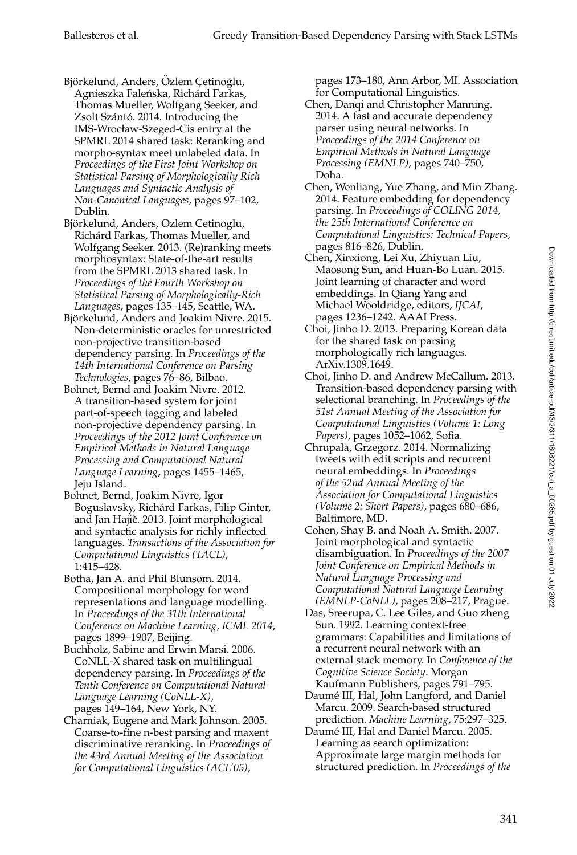- Björkelund, Anders, Ozlem Çetinoğlu, Agnieszka Faleńska, Richárd Farkas, Thomas Mueller, Wolfgang Seeker, and Zsolt Szántó. 2014. Introducing the IMS-Wrocław-Szeged-Cis entry at the SPMRL 2014 shared task: Reranking and morpho-syntax meet unlabeled data. In *Proceedings of the First Joint Workshop on Statistical Parsing of Morphologically Rich Languages and Syntactic Analysis of Non-Canonical Languages*, pages 97–102, Dublin.
- Bjorkelund, Anders, Ozlem Cetinoglu, ¨ Richard Farkas, Thomas Mueller, and ´ Wolfgang Seeker. 2013. (Re)ranking meets morphosyntax: State-of-the-art results from the SPMRL 2013 shared task. In *Proceedings of the Fourth Workshop on Statistical Parsing of Morphologically-Rich Languages*, pages 135–145, Seattle, WA.
- Björkelund, Anders and Joakim Nivre. 2015. Non-deterministic oracles for unrestricted non-projective transition-based dependency parsing. In *Proceedings of the 14th International Conference on Parsing Technologies*, pages 76–86, Bilbao.
- Bohnet, Bernd and Joakim Nivre. 2012. A transition-based system for joint part-of-speech tagging and labeled non-projective dependency parsing. In *Proceedings of the 2012 Joint Conference on Empirical Methods in Natural Language Processing and Computational Natural Language Learning*, pages 1455–1465, Jeju Island.
- Bohnet, Bernd, Joakim Nivre, Igor Boguslavsky, Richárd Farkas, Filip Ginter, and Jan Hajič. 2013. Joint morphological and syntactic analysis for richly inflected languages. *Transactions of the Association for Computational Linguistics (TACL)*, 1:415–428.
- Botha, Jan A. and Phil Blunsom. 2014. Compositional morphology for word representations and language modelling. In *Proceedings of the 31th International Conference on Machine Learning, ICML 2014*, pages 1899–1907, Beijing.
- Buchholz, Sabine and Erwin Marsi. 2006. CoNLL-X shared task on multilingual dependency parsing. In *Proceedings of the Tenth Conference on Computational Natural Language Learning (CoNLL-X)*, pages 149–164, New York, NY.
- Charniak, Eugene and Mark Johnson. 2005. Coarse-to-fine n-best parsing and maxent discriminative reranking. In *Proceedings of the 43rd Annual Meeting of the Association for Computational Linguistics (ACL'05)*,

pages 173–180, Ann Arbor, MI. Association for Computational Linguistics.

- Chen, Danqi and Christopher Manning. 2014. A fast and accurate dependency parser using neural networks. In *Proceedings of the 2014 Conference on Empirical Methods in Natural Language Processing (EMNLP)*, pages 740–750, Doha.
- Chen, Wenliang, Yue Zhang, and Min Zhang. 2014. Feature embedding for dependency parsing. In *Proceedings of COLING 2014, the 25th International Conference on Computational Linguistics: Technical Papers*, pages 816–826, Dublin.
- Chen, Xinxiong, Lei Xu, Zhiyuan Liu, Maosong Sun, and Huan-Bo Luan. 2015. Joint learning of character and word embeddings. In Qiang Yang and Michael Wooldridge, editors, *IJCAI*, pages 1236–1242. AAAI Press.
- Choi, Jinho D. 2013. Preparing Korean data for the shared task on parsing morphologically rich languages. ArXiv.1309.1649.
- Choi, Jinho D. and Andrew McCallum. 2013. Transition-based dependency parsing with selectional branching. In *Proceedings of the 51st Annual Meeting of the Association for Computational Linguistics (Volume 1: Long Papers)*, pages 1052–1062, Sofia.
- Chrupała, Grzegorz. 2014. Normalizing tweets with edit scripts and recurrent neural embeddings. In *Proceedings of the 52nd Annual Meeting of the Association for Computational Linguistics (Volume 2: Short Papers)*, pages 680–686, Baltimore, MD.
- Cohen, Shay B. and Noah A. Smith. 2007. Joint morphological and syntactic disambiguation. In *Proceedings of the 2007 Joint Conference on Empirical Methods in Natural Language Processing and Computational Natural Language Learning (EMNLP-CoNLL)*, pages 208–217, Prague.
- Das, Sreerupa, C. Lee Giles, and Guo zheng Sun. 1992. Learning context-free grammars: Capabilities and limitations of a recurrent neural network with an external stack memory. In *Conference of the Cognitive Science Society*. Morgan Kaufmann Publishers, pages 791–795.
- Daumé III, Hal, John Langford, and Daniel Marcu. 2009. Search-based structured prediction. *Machine Learning*, 75:297–325.
- Daume III, Hal and Daniel Marcu. 2005. ´ Learning as search optimization: Approximate large margin methods for structured prediction. In *Proceedings of the*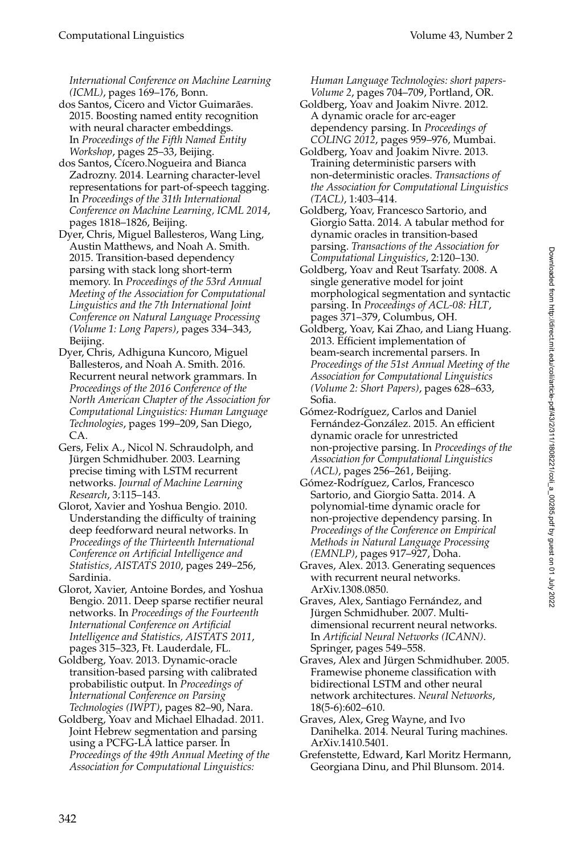*International Conference on Machine Learning (ICML)*, pages 169–176, Bonn.

- dos Santos, Cicero and Victor Guimarães. 2015. Boosting named entity recognition with neural character embeddings. In *Proceedings of the Fifth Named Entity Workshop*, pages 25–33, Beijing.
- dos Santos, Cícero.Nogueira and Bianca Zadrozny. 2014. Learning character-level representations for part-of-speech tagging. In *Proceedings of the 31th International Conference on Machine Learning, ICML 2014*, pages 1818–1826, Beijing.
- Dyer, Chris, Miguel Ballesteros, Wang Ling, Austin Matthews, and Noah A. Smith. 2015. Transition-based dependency parsing with stack long short-term memory. In *Proceedings of the 53rd Annual Meeting of the Association for Computational Linguistics and the 7th International Joint Conference on Natural Language Processing (Volume 1: Long Papers)*, pages 334–343, Beijing.
- Dyer, Chris, Adhiguna Kuncoro, Miguel Ballesteros, and Noah A. Smith. 2016. Recurrent neural network grammars. In *Proceedings of the 2016 Conference of the North American Chapter of the Association for Computational Linguistics: Human Language Technologies*, pages 199–209, San Diego, CA.
- Gers, Felix A., Nicol N. Schraudolph, and Jürgen Schmidhuber. 2003. Learning precise timing with LSTM recurrent networks. *Journal of Machine Learning Research*, 3:115–143.
- Glorot, Xavier and Yoshua Bengio. 2010. Understanding the difficulty of training deep feedforward neural networks. In *Proceedings of the Thirteenth International Conference on Artificial Intelligence and Statistics, AISTATS 2010*, pages 249–256, Sardinia.
- Glorot, Xavier, Antoine Bordes, and Yoshua Bengio. 2011. Deep sparse rectifier neural networks. In *Proceedings of the Fourteenth International Conference on Artificial Intelligence and Statistics, AISTATS 2011*, pages 315–323, Ft. Lauderdale, FL.
- Goldberg, Yoav. 2013. Dynamic-oracle transition-based parsing with calibrated probabilistic output. In *Proceedings of International Conference on Parsing Technologies (IWPT)*, pages 82–90, Nara.
- Goldberg, Yoav and Michael Elhadad. 2011. Joint Hebrew segmentation and parsing using a PCFG-LA lattice parser. In *Proceedings of the 49th Annual Meeting of the Association for Computational Linguistics:*

*Human Language Technologies: short papers-Volume 2*, pages 704–709, Portland, OR.

- Goldberg, Yoav and Joakim Nivre. 2012. A dynamic oracle for arc-eager dependency parsing. In *Proceedings of COLING 2012*, pages 959–976, Mumbai.
- Goldberg, Yoav and Joakim Nivre. 2013. Training deterministic parsers with non-deterministic oracles. *Transactions of the Association for Computational Linguistics (TACL)*, 1:403–414.
- Goldberg, Yoav, Francesco Sartorio, and Giorgio Satta. 2014. A tabular method for dynamic oracles in transition-based parsing. *Transactions of the Association for Computational Linguistics*, 2:120–130.
- Goldberg, Yoav and Reut Tsarfaty. 2008. A single generative model for joint morphological segmentation and syntactic parsing. In *Proceedings of ACL-08: HLT*, pages 371–379, Columbus, OH.
- Goldberg, Yoav, Kai Zhao, and Liang Huang. 2013. Efficient implementation of beam-search incremental parsers. In *Proceedings of the 51st Annual Meeting of the Association for Computational Linguistics (Volume 2: Short Papers)*, pages 628–633, Sofia.
- Gómez-Rodríguez, Carlos and Daniel Fernández-González. 2015. An efficient dynamic oracle for unrestricted non-projective parsing. In *Proceedings of the Association for Computational Linguistics (ACL)*, pages 256–261, Beijing.
- Gómez-Rodríguez, Carlos, Francesco Sartorio, and Giorgio Satta. 2014. A polynomial-time dynamic oracle for non-projective dependency parsing. In *Proceedings of the Conference on Empirical Methods in Natural Language Processing (EMNLP)*, pages 917–927, Doha.
- Graves, Alex. 2013. Generating sequences with recurrent neural networks. ArXiv.1308.0850.
- Graves, Alex, Santiago Fernández, and Jürgen Schmidhuber. 2007. Multidimensional recurrent neural networks. In *Artificial Neural Networks (ICANN)*. Springer, pages 549–558.
- Graves, Alex and Jürgen Schmidhuber. 2005. Framewise phoneme classification with bidirectional LSTM and other neural network architectures. *Neural Networks*, 18(5-6):602–610.
- Graves, Alex, Greg Wayne, and Ivo Danihelka. 2014. Neural Turing machines. ArXiv.1410.5401.
- Grefenstette, Edward, Karl Moritz Hermann, Georgiana Dinu, and Phil Blunsom. 2014.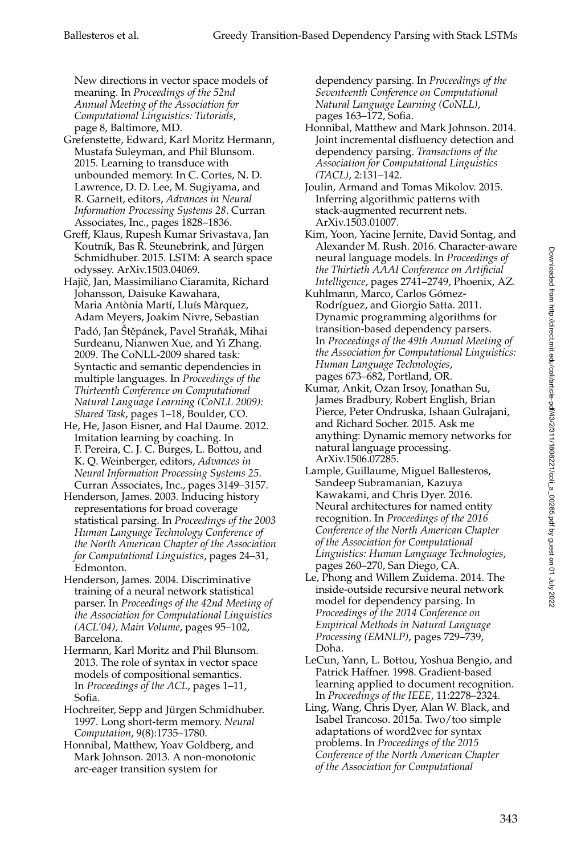New directions in vector space models of meaning. In *Proceedings of the 52nd Annual Meeting of the Association for Computational Linguistics: Tutorials*, page 8, Baltimore, MD.

- Grefenstette, Edward, Karl Moritz Hermann, Mustafa Suleyman, and Phil Blunsom. 2015. Learning to transduce with unbounded memory. In C. Cortes, N. D. Lawrence, D. D. Lee, M. Sugiyama, and R. Garnett, editors, *Advances in Neural Information Processing Systems 28*. Curran Associates, Inc., pages 1828–1836.
- Greff, Klaus, Rupesh Kumar Srivastava, Jan Koutník, Bas R. Steunebrink, and Jürgen Schmidhuber. 2015. LSTM: A search space odyssey. ArXiv.1503.04069.
- Hajič, Jan, Massimiliano Ciaramita, Richard Johansson, Daisuke Kawahara, Maria Antònia Martí, Lluís Màrquez, Adam Meyers, Joakim Nivre, Sebastian Padó, Jan Štěpánek, Pavel Straňák, Mihai Surdeanu, Nianwen Xue, and Yi Zhang. 2009. The CoNLL-2009 shared task: Syntactic and semantic dependencies in multiple languages. In *Proceedings of the Thirteenth Conference on Computational Natural Language Learning (CoNLL 2009): Shared Task*, pages 1–18, Boulder, CO.
- He, He, Jason Eisner, and Hal Daume. 2012. Imitation learning by coaching. In F. Pereira, C. J. C. Burges, L. Bottou, and K. Q. Weinberger, editors, *Advances in Neural Information Processing Systems 25*. Curran Associates, Inc., pages 3149–3157.
- Henderson, James. 2003. Inducing history representations for broad coverage statistical parsing. In *Proceedings of the 2003 Human Language Technology Conference of the North American Chapter of the Association for Computational Linguistics*, pages 24–31, Edmonton.
- Henderson, James. 2004. Discriminative training of a neural network statistical parser. In *Proceedings of the 42nd Meeting of the Association for Computational Linguistics (ACL'04), Main Volume*, pages 95–102, Barcelona.
- Hermann, Karl Moritz and Phil Blunsom. 2013. The role of syntax in vector space models of compositional semantics. In *Proceedings of the ACL*, pages 1–11, Sofia.
- Hochreiter, Sepp and Jürgen Schmidhuber. 1997. Long short-term memory. *Neural Computation*, 9(8):1735–1780.
- Honnibal, Matthew, Yoav Goldberg, and Mark Johnson. 2013. A non-monotonic arc-eager transition system for

dependency parsing. In *Proceedings of the Seventeenth Conference on Computational Natural Language Learning (CoNLL)*, pages 163–172, Sofia.

- Honnibal, Matthew and Mark Johnson. 2014. Joint incremental disfluency detection and dependency parsing. *Transactions of the Association for Computational Linguistics (TACL)*, 2:131–142.
- Joulin, Armand and Tomas Mikolov. 2015. Inferring algorithmic patterns with stack-augmented recurrent nets. ArXiv.1503.01007.
- Kim, Yoon, Yacine Jernite, David Sontag, and Alexander M. Rush. 2016. Character-aware neural language models. In *Proceedings of the Thirtieth AAAI Conference on Artificial Intelligence*, pages 2741–2749, Phoenix, AZ.
- Kuhlmann, Marco, Carlos Gómez-Rodríguez, and Giorgio Satta. 2011. Dynamic programming algorithms for transition-based dependency parsers. In *Proceedings of the 49th Annual Meeting of the Association for Computational Linguistics: Human Language Technologies*, pages 673–682, Portland, OR.
- Kumar, Ankit, Ozan Irsoy, Jonathan Su, James Bradbury, Robert English, Brian Pierce, Peter Ondruska, Ishaan Gulrajani, and Richard Socher. 2015. Ask me anything: Dynamic memory networks for natural language processing. ArXiv.1506.07285.
- Lample, Guillaume, Miguel Ballesteros, Sandeep Subramanian, Kazuya Kawakami, and Chris Dyer. 2016. Neural architectures for named entity recognition. In *Proceedings of the 2016 Conference of the North American Chapter of the Association for Computational Linguistics: Human Language Technologies*, pages 260–270, San Diego, CA.
- Le, Phong and Willem Zuidema. 2014. The inside-outside recursive neural network model for dependency parsing. In *Proceedings of the 2014 Conference on Empirical Methods in Natural Language Processing (EMNLP)*, pages 729–739, Doha.
- LeCun, Yann, L. Bottou, Yoshua Bengio, and Patrick Haffner. 1998. Gradient-based learning applied to document recognition. In *Proceedings of the IEEE*, 11:2278–2324.
- Ling, Wang, Chris Dyer, Alan W. Black, and Isabel Trancoso. 2015a. Two/too simple adaptations of word2vec for syntax problems. In *Proceedings of the 2015 Conference of the North American Chapter of the Association for Computational*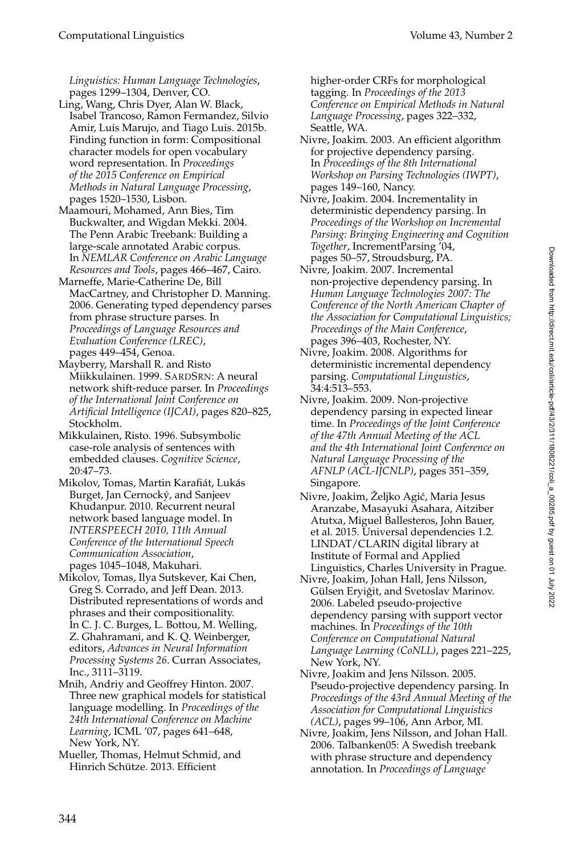*Linguistics: Human Language Technologies*, pages 1299–1304, Denver, CO.

- Ling, Wang, Chris Dyer, Alan W. Black, Isabel Trancoso, Ramon Fermandez, Silvio Amir, Luis Marujo, and Tiago Luis. 2015b. Finding function in form: Compositional character models for open vocabulary word representation. In *Proceedings of the 2015 Conference on Empirical Methods in Natural Language Processing*, pages 1520–1530, Lisbon.
- Maamouri, Mohamed, Ann Bies, Tim Buckwalter, and Wigdan Mekki. 2004. The Penn Arabic Treebank: Building a large-scale annotated Arabic corpus. In *NEMLAR Conference on Arabic Language Resources and Tools*, pages 466–467, Cairo.
- Marneffe, Marie-Catherine De, Bill MacCartney, and Christopher D. Manning. 2006. Generating typed dependency parses from phrase structure parses. In *Proceedings of Language Resources and Evaluation Conference (LREC)*, pages 449–454, Genoa.
- Mayberry, Marshall R. and Risto Miikkulainen. 1999. SARDSRN: A neural network shift-reduce parser. In *Proceedings of the International Joint Conference on Artificial Intelligence (IJCAI)*, pages 820–825, Stockholm.
- Mikkulainen, Risto. 1996. Subsymbolic case-role analysis of sentences with embedded clauses. *Cognitive Science*, 20:47–73.
- Mikolov, Tomas, Martin Karafiát, Lukás Burget, Jan Cernocký, and Sanjeev Khudanpur. 2010. Recurrent neural network based language model. In *INTERSPEECH 2010, 11th Annual Conference of the International Speech Communication Association*, pages 1045–1048, Makuhari.
- Mikolov, Tomas, Ilya Sutskever, Kai Chen, Greg S. Corrado, and Jeff Dean. 2013. Distributed representations of words and phrases and their compositionality. In C. J. C. Burges, L. Bottou, M. Welling, Z. Ghahramani, and K. Q. Weinberger, editors, *Advances in Neural Information Processing Systems 26*. Curran Associates, Inc., 3111–3119.
- Mnih, Andriy and Geoffrey Hinton. 2007. Three new graphical models for statistical language modelling. In *Proceedings of the 24th International Conference on Machine Learning*, ICML '07, pages 641–648, New York, NY.
- Mueller, Thomas, Helmut Schmid, and Hinrich Schütze. 2013. Efficient

higher-order CRFs for morphological tagging. In *Proceedings of the 2013 Conference on Empirical Methods in Natural Language Processing*, pages 322–332, Seattle, WA.

- Nivre, Joakim. 2003. An efficient algorithm for projective dependency parsing. In *Proceedings of the 8th International Workshop on Parsing Technologies (IWPT)*, pages 149–160, Nancy.
- Nivre, Joakim. 2004. Incrementality in deterministic dependency parsing. In *Proceedings of the Workshop on Incremental Parsing: Bringing Engineering and Cognition Together*, IncrementParsing '04, pages 50–57, Stroudsburg, PA.
- Nivre, Joakim. 2007. Incremental non-projective dependency parsing. In *Human Language Technologies 2007: The Conference of the North American Chapter of the Association for Computational Linguistics; Proceedings of the Main Conference*, pages 396–403, Rochester, NY.
- Nivre, Joakim. 2008. Algorithms for deterministic incremental dependency parsing. *Computational Linguistics*, 34:4:513–553.
- Nivre, Joakim. 2009. Non-projective dependency parsing in expected linear time. In *Proceedings of the Joint Conference of the 47th Annual Meeting of the ACL and the 4th International Joint Conference on Natural Language Processing of the AFNLP (ACL-IJCNLP)*, pages 351–359, Singapore.
- Nivre, Joakim, Željko Agić, Maria Jesus Aranzabe, Masayuki Asahara, Aitziber Atutxa, Miguel Ballesteros, John Bauer, et al. 2015. Universal dependencies 1.2. LINDAT/CLARIN digital library at Institute of Formal and Applied Linguistics, Charles University in Prague.
- Nivre, Joakim, Johan Hall, Jens Nilsson, Gülsen Eryiğit, and Svetoslav Marinov. 2006. Labeled pseudo-projective dependency parsing with support vector machines. In *Proceedings of the 10th Conference on Computational Natural Language Learning (CoNLL)*, pages 221–225, New York, NY.
- Nivre, Joakim and Jens Nilsson. 2005. Pseudo-projective dependency parsing. In *Proceedings of the 43rd Annual Meeting of the Association for Computational Linguistics (ACL)*, pages 99–106, Ann Arbor, MI.
- Nivre, Joakim, Jens Nilsson, and Johan Hall. 2006. Talbanken05: A Swedish treebank with phrase structure and dependency annotation. In *Proceedings of Language*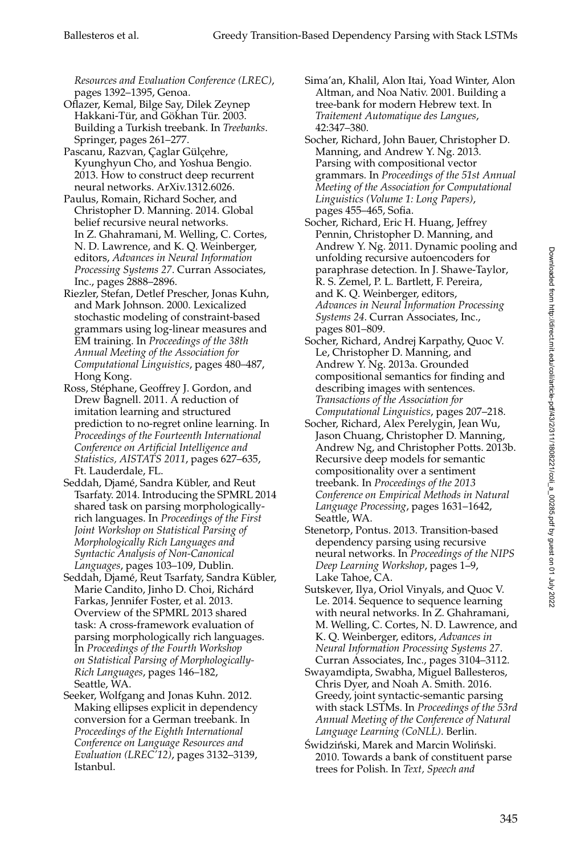*Resources and Evaluation Conference (LREC)*, pages 1392–1395, Genoa.

- Oflazer, Kemal, Bilge Say, Dilek Zeynep Hakkani-Tür, and Gökhan Tür. 2003. Building a Turkish treebank. In *Treebanks*. Springer, pages 261–277.
- Pascanu, Razvan, Çaglar Gülçehre, Kyunghyun Cho, and Yoshua Bengio. 2013. How to construct deep recurrent neural networks. ArXiv.1312.6026.
- Paulus, Romain, Richard Socher, and Christopher D. Manning. 2014. Global belief recursive neural networks. In Z. Ghahramani, M. Welling, C. Cortes, N. D. Lawrence, and K. Q. Weinberger, editors, *Advances in Neural Information Processing Systems 27*. Curran Associates, Inc., pages 2888–2896.
- Riezler, Stefan, Detlef Prescher, Jonas Kuhn, and Mark Johnson. 2000. Lexicalized stochastic modeling of constraint-based grammars using log-linear measures and EM training. In *Proceedings of the 38th Annual Meeting of the Association for Computational Linguistics*, pages 480–487, Hong Kong.
- Ross, Stephane, Geoffrey J. Gordon, and ´ Drew Bagnell. 2011. A reduction of imitation learning and structured prediction to no-regret online learning. In *Proceedings of the Fourteenth International Conference on Artificial Intelligence and Statistics, AISTATS 2011*, pages 627–635, Ft. Lauderdale, FL.
- Seddah, Djamé, Sandra Kübler, and Reut Tsarfaty. 2014. Introducing the SPMRL 2014 shared task on parsing morphologicallyrich languages. In *Proceedings of the First Joint Workshop on Statistical Parsing of Morphologically Rich Languages and Syntactic Analysis of Non-Canonical Languages*, pages 103–109, Dublin.
- Seddah, Djamé, Reut Tsarfaty, Sandra Kübler, Marie Candito, Jinho D. Choi, Richárd Farkas, Jennifer Foster, et al. 2013. Overview of the SPMRL 2013 shared task: A cross-framework evaluation of parsing morphologically rich languages. In *Proceedings of the Fourth Workshop on Statistical Parsing of Morphologically-Rich Languages*, pages 146–182, Seattle, WA.
- Seeker, Wolfgang and Jonas Kuhn. 2012. Making ellipses explicit in dependency conversion for a German treebank. In *Proceedings of the Eighth International Conference on Language Resources and Evaluation (LREC'12)*, pages 3132–3139, Istanbul.
- Sima'an, Khalil, Alon Itai, Yoad Winter, Alon Altman, and Noa Nativ. 2001. Building a tree-bank for modern Hebrew text. In *Traitement Automatique des Langues*, 42:347–380.
- Socher, Richard, John Bauer, Christopher D. Manning, and Andrew Y. Ng. 2013. Parsing with compositional vector grammars. In *Proceedings of the 51st Annual Meeting of the Association for Computational Linguistics (Volume 1: Long Papers)*, pages 455–465, Sofia.
- Socher, Richard, Eric H. Huang, Jeffrey Pennin, Christopher D. Manning, and Andrew Y. Ng. 2011. Dynamic pooling and unfolding recursive autoencoders for paraphrase detection. In J. Shawe-Taylor, R. S. Zemel, P. L. Bartlett, F. Pereira, and K. Q. Weinberger, editors, *Advances in Neural Information Processing Systems 24*. Curran Associates, Inc., pages 801–809.
- Socher, Richard, Andrej Karpathy, Quoc V. Le, Christopher D. Manning, and Andrew Y. Ng. 2013a. Grounded compositional semantics for finding and describing images with sentences. *Transactions of the Association for Computational Linguistics*, pages 207–218.
- Socher, Richard, Alex Perelygin, Jean Wu, Jason Chuang, Christopher D. Manning, Andrew Ng, and Christopher Potts. 2013b. Recursive deep models for semantic compositionality over a sentiment treebank. In *Proceedings of the 2013 Conference on Empirical Methods in Natural Language Processing*, pages 1631–1642, Seattle, WA.
- Stenetorp, Pontus. 2013. Transition-based dependency parsing using recursive neural networks. In *Proceedings of the NIPS Deep Learning Workshop*, pages 1–9, Lake Tahoe, CA.
- Sutskever, Ilya, Oriol Vinyals, and Quoc V. Le. 2014. Sequence to sequence learning with neural networks. In Z. Ghahramani, M. Welling, C. Cortes, N. D. Lawrence, and K. Q. Weinberger, editors, *Advances in Neural Information Processing Systems 27*. Curran Associates, Inc., pages 3104–3112.
- Swayamdipta, Swabha, Miguel Ballesteros, Chris Dyer, and Noah A. Smith. 2016. Greedy, joint syntactic-semantic parsing with stack LSTMs. In *Proceedings of the 53rd Annual Meeting of the Conference of Natural Language Learning (CoNLL)*. Berlin.
- Świdziński, Marek and Marcin Woliński. 2010. Towards a bank of constituent parse trees for Polish. In *Text, Speech and*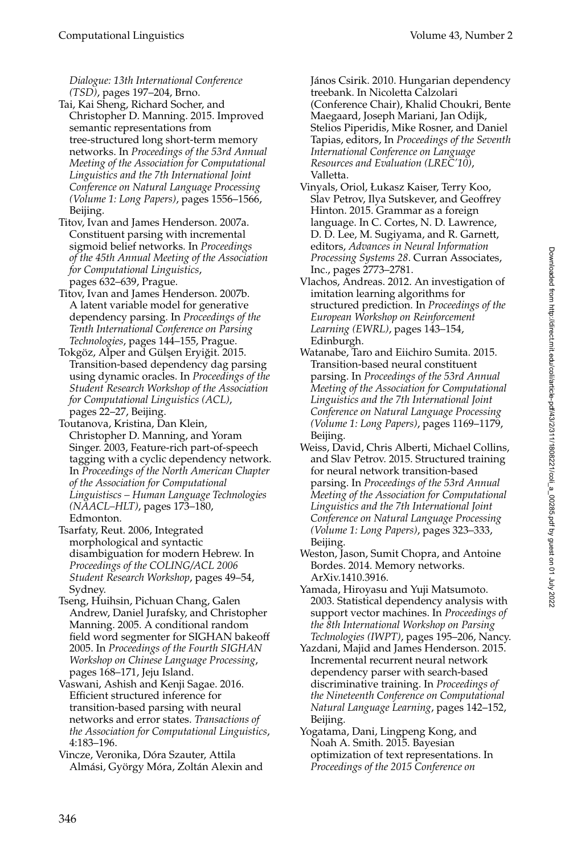*Dialogue: 13th International Conference (TSD)*, pages 197–204, Brno.

Tai, Kai Sheng, Richard Socher, and Christopher D. Manning. 2015. Improved semantic representations from tree-structured long short-term memory networks. In *Proceedings of the 53rd Annual Meeting of the Association for Computational Linguistics and the 7th International Joint Conference on Natural Language Processing (Volume 1: Long Papers)*, pages 1556–1566, Beijing.

Titov, Ivan and James Henderson. 2007a. Constituent parsing with incremental sigmoid belief networks. In *Proceedings of the 45th Annual Meeting of the Association for Computational Linguistics*, pages 632–639, Prague.

Titov, Ivan and James Henderson. 2007b. A latent variable model for generative dependency parsing. In *Proceedings of the Tenth International Conference on Parsing Technologies*, pages 144–155, Prague.

Tokgöz, Alper and Gülşen Eryiğit. 2015. Transition-based dependency dag parsing using dynamic oracles. In *Proceedings of the Student Research Workshop of the Association for Computational Linguistics (ACL)*, pages 22–27, Beijing.

Toutanova, Kristina, Dan Klein, Christopher D. Manning, and Yoram Singer. 2003, Feature-rich part-of-speech tagging with a cyclic dependency network. In *Proceedings of the North American Chapter of the Association for Computational Linguistiscs – Human Language Technologies (NAACL–HLT)*, pages 173–180, Edmonton.

Tsarfaty, Reut. 2006, Integrated morphological and syntactic disambiguation for modern Hebrew. In *Proceedings of the COLING/ACL 2006 Student Research Workshop*, pages 49–54, Sydney.

Tseng, Huihsin, Pichuan Chang, Galen Andrew, Daniel Jurafsky, and Christopher Manning. 2005. A conditional random field word segmenter for SIGHAN bakeoff 2005. In *Proceedings of the Fourth SIGHAN Workshop on Chinese Language Processing*, pages 168–171, Jeju Island.

Vaswani, Ashish and Kenji Sagae. 2016. Efficient structured inference for transition-based parsing with neural networks and error states. *Transactions of the Association for Computational Linguistics*, 4:183–196.

Vincze, Veronika, Dóra Szauter, Attila Almási, György Móra, Zoltán Alexin and János Csirik. 2010. Hungarian dependency treebank. In Nicoletta Calzolari (Conference Chair), Khalid Choukri, Bente Maegaard, Joseph Mariani, Jan Odijk, Stelios Piperidis, Mike Rosner, and Daniel Tapias, editors, In *Proceedings of the Seventh International Conference on Language Resources and Evaluation (LREC'10)*, Valletta.

Vinyals, Oriol, Łukasz Kaiser, Terry Koo, Slav Petrov, Ilya Sutskever, and Geoffrey Hinton. 2015. Grammar as a foreign language. In C. Cortes, N. D. Lawrence, D. D. Lee, M. Sugiyama, and R. Garnett, editors, *Advances in Neural Information Processing Systems 28*. Curran Associates, Inc., pages 2773–2781.

Vlachos, Andreas. 2012. An investigation of imitation learning algorithms for structured prediction. In *Proceedings of the European Workshop on Reinforcement Learning (EWRL)*, pages 143–154, Edinburgh.

Watanabe, Taro and Eiichiro Sumita. 2015. Transition-based neural constituent parsing. In *Proceedings of the 53rd Annual Meeting of the Association for Computational Linguistics and the 7th International Joint Conference on Natural Language Processing (Volume 1: Long Papers)*, pages 1169–1179, Beijing.

Weiss, David, Chris Alberti, Michael Collins, and Slav Petrov. 2015. Structured training for neural network transition-based parsing. In *Proceedings of the 53rd Annual Meeting of the Association for Computational Linguistics and the 7th International Joint Conference on Natural Language Processing (Volume 1: Long Papers)*, pages 323–333, Beijing.

Weston, Jason, Sumit Chopra, and Antoine Bordes. 2014. Memory networks. ArXiv.1410.3916.

Yamada, Hiroyasu and Yuji Matsumoto. 2003. Statistical dependency analysis with support vector machines. In *Proceedings of the 8th International Workshop on Parsing Technologies (IWPT)*, pages 195–206, Nancy.

Yazdani, Majid and James Henderson. 2015. Incremental recurrent neural network dependency parser with search-based discriminative training. In *Proceedings of the Nineteenth Conference on Computational Natural Language Learning*, pages 142–152, Beijing.

Yogatama, Dani, Lingpeng Kong, and Noah A. Smith. 2015. Bayesian optimization of text representations. In *Proceedings of the 2015 Conference on*